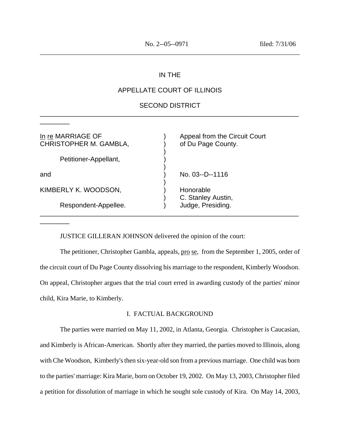# IN THE

\_\_\_\_\_\_\_\_\_\_\_\_\_\_\_\_\_\_\_\_\_\_\_\_\_\_\_\_\_\_\_\_\_\_\_\_\_\_\_\_\_\_\_\_\_\_\_\_\_\_\_\_\_\_\_\_\_\_\_\_\_\_\_\_\_\_\_\_\_\_\_\_\_\_\_\_\_\_

# APPELLATE COURT OF ILLINOIS

# SECOND DISTRICT \_\_\_\_\_\_\_\_\_\_\_\_\_\_\_\_\_\_\_\_\_\_\_\_\_\_\_\_\_\_\_\_\_\_\_\_\_\_\_\_\_\_\_\_\_\_\_\_\_\_\_\_\_\_\_\_\_\_\_\_\_\_\_\_\_\_\_\_\_\_

)

)

)

\_\_\_\_\_\_\_\_\_\_\_\_\_\_\_\_\_\_\_\_\_\_\_\_\_\_\_\_\_\_\_\_\_\_\_\_\_\_\_\_\_\_\_\_\_\_\_\_\_\_\_\_\_\_\_\_\_\_\_\_\_\_\_\_\_\_\_\_\_\_

CHRISTOPHER M. GAMBLA, (and a boost of Du Page County.)

Petitioner-Appellant, )

 $\overline{\phantom{a}}$   $\overline{\phantom{a}}$ 

\_\_\_\_\_\_\_\_

KIMBERLY K. WOODSON, The Control of Honorable

Respondent-Appellee. (a) Judge, Presiding.

In re MARRIAGE OF (1) Appeal from the Circuit Court

and ) No. 03--D--1116

) C. Stanley Austin,

JUSTICE GILLERAN JOHNSON delivered the opinion of the court:

The petitioner, Christopher Gambla, appeals, pro se, from the September 1, 2005, order of the circuit court of Du Page County dissolving his marriage to the respondent, Kimberly Woodson. On appeal, Christopher argues that the trial court erred in awarding custody of the parties' minor child, Kira Marie, to Kimberly.

### I. FACTUAL BACKGROUND

The parties were married on May 11, 2002, in Atlanta, Georgia. Christopher is Caucasian, and Kimberly is African-American. Shortly after they married, the parties moved to Illinois, along with Che Woodson, Kimberly's then six-year-old son from a previous marriage. One child was born to the parties' marriage: Kira Marie, born on October 19, 2002. On May 13, 2003, Christopher filed a petition for dissolution of marriage in which he sought sole custody of Kira. On May 14, 2003,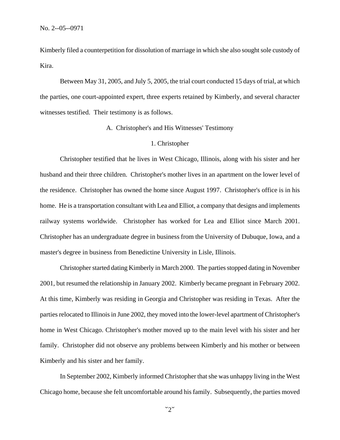Kimberly filed a counterpetition for dissolution of marriage in which she also sought sole custody of Kira.

Between May 31, 2005, and July 5, 2005, the trial court conducted 15 days of trial, at which the parties, one court-appointed expert, three experts retained by Kimberly, and several character witnesses testified. Their testimony is as follows.

### A. Christopher's and His Witnesses' Testimony

### 1. Christopher

Christopher testified that he lives in West Chicago, Illinois, along with his sister and her husband and their three children. Christopher's mother lives in an apartment on the lower level of the residence. Christopher has owned the home since August 1997. Christopher's office is in his home. He is a transportation consultant with Lea and Elliot, a company that designs and implements railway systems worldwide. Christopher has worked for Lea and Elliot since March 2001. Christopher has an undergraduate degree in business from the University of Dubuque, Iowa, and a master's degree in business from Benedictine University in Lisle, Illinois.

Christopher started dating Kimberly in March 2000. The parties stopped dating in November 2001, but resumed the relationship in January 2002. Kimberly became pregnant in February 2002. At this time, Kimberly was residing in Georgia and Christopher was residing in Texas. After the parties relocated to Illinois in June 2002, they moved into the lower-level apartment of Christopher's home in West Chicago. Christopher's mother moved up to the main level with his sister and her family. Christopher did not observe any problems between Kimberly and his mother or between Kimberly and his sister and her family.

In September 2002, Kimberly informed Christopher that she was unhappy living in the West Chicago home, because she felt uncomfortable around his family. Subsequently, the parties moved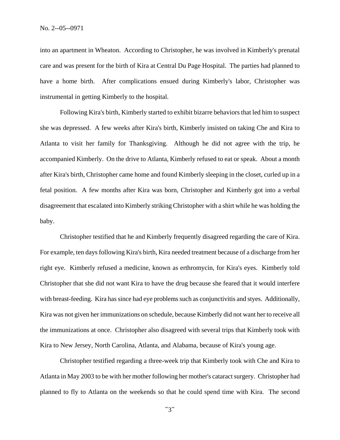into an apartment in Wheaton. According to Christopher, he was involved in Kimberly's prenatal care and was present for the birth of Kira at Central Du Page Hospital. The parties had planned to have a home birth. After complications ensued during Kimberly's labor, Christopher was instrumental in getting Kimberly to the hospital.

Following Kira's birth, Kimberly started to exhibit bizarre behaviors that led him to suspect she was depressed. A few weeks after Kira's birth, Kimberly insisted on taking Che and Kira to Atlanta to visit her family for Thanksgiving. Although he did not agree with the trip, he accompanied Kimberly. On the drive to Atlanta, Kimberly refused to eat or speak. About a month after Kira's birth, Christopher came home and found Kimberly sleeping in the closet, curled up in a fetal position. A few months after Kira was born, Christopher and Kimberly got into a verbal disagreement that escalated into Kimberly striking Christopher with a shirt while he was holding the baby.

Christopher testified that he and Kimberly frequently disagreed regarding the care of Kira. For example, ten days following Kira's birth, Kira needed treatment because of a discharge from her right eye. Kimberly refused a medicine, known as erthromycin, for Kira's eyes. Kimberly told Christopher that she did not want Kira to have the drug because she feared that it would interfere with breast-feeding. Kira has since had eye problems such as conjunctivitis and styes. Additionally, Kira was not given her immunizations on schedule, because Kimberly did not want her to receive all the immunizations at once. Christopher also disagreed with several trips that Kimberly took with Kira to New Jersey, North Carolina, Atlanta, and Alabama, because of Kira's young age.

Christopher testified regarding a three-week trip that Kimberly took with Che and Kira to Atlanta in May 2003 to be with her mother following her mother's cataract surgery. Christopher had planned to fly to Atlanta on the weekends so that he could spend time with Kira. The second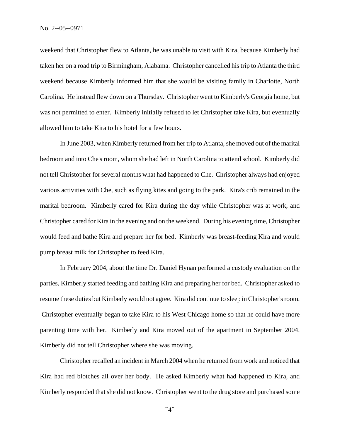weekend that Christopher flew to Atlanta, he was unable to visit with Kira, because Kimberly had taken her on a road trip to Birmingham, Alabama. Christopher cancelled his trip to Atlanta the third weekend because Kimberly informed him that she would be visiting family in Charlotte, North Carolina. He instead flew down on a Thursday. Christopher went to Kimberly's Georgia home, but was not permitted to enter. Kimberly initially refused to let Christopher take Kira, but eventually allowed him to take Kira to his hotel for a few hours.

In June 2003, when Kimberly returned from her trip to Atlanta, she moved out of the marital bedroom and into Che's room, whom she had left in North Carolina to attend school. Kimberly did not tell Christopher for several months what had happened to Che. Christopher always had enjoyed various activities with Che, such as flying kites and going to the park. Kira's crib remained in the marital bedroom. Kimberly cared for Kira during the day while Christopher was at work, and Christopher cared for Kira in the evening and on the weekend. During his evening time, Christopher would feed and bathe Kira and prepare her for bed. Kimberly was breast-feeding Kira and would pump breast milk for Christopher to feed Kira.

In February 2004, about the time Dr. Daniel Hynan performed a custody evaluation on the parties, Kimberly started feeding and bathing Kira and preparing her for bed. Christopher asked to resume these duties but Kimberly would not agree. Kira did continue to sleep in Christopher's room. Christopher eventually began to take Kira to his West Chicago home so that he could have more parenting time with her. Kimberly and Kira moved out of the apartment in September 2004. Kimberly did not tell Christopher where she was moving.

Christopher recalled an incident in March 2004 when he returned from work and noticed that Kira had red blotches all over her body. He asked Kimberly what had happened to Kira, and Kimberly responded that she did not know. Christopher went to the drug store and purchased some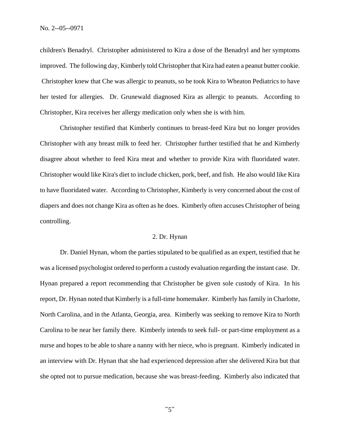children's Benadryl. Christopher administered to Kira a dose of the Benadryl and her symptoms improved. The following day, Kimberly told Christopher that Kira had eaten a peanut butter cookie. Christopher knew that Che was allergic to peanuts, so he took Kira to Wheaton Pediatrics to have her tested for allergies. Dr. Grunewald diagnosed Kira as allergic to peanuts. According to Christopher, Kira receives her allergy medication only when she is with him.

Christopher testified that Kimberly continues to breast-feed Kira but no longer provides Christopher with any breast milk to feed her. Christopher further testified that he and Kimberly disagree about whether to feed Kira meat and whether to provide Kira with fluoridated water. Christopher would like Kira's diet to include chicken, pork, beef, and fish. He also would like Kira to have fluoridated water. According to Christopher, Kimberly is very concerned about the cost of diapers and does not change Kira as often as he does. Kimberly often accuses Christopher of being controlling.

### 2. Dr. Hynan

Dr. Daniel Hynan, whom the parties stipulated to be qualified as an expert, testified that he was a licensed psychologist ordered to perform a custody evaluation regarding the instant case. Dr. Hynan prepared a report recommending that Christopher be given sole custody of Kira. In his report, Dr. Hynan noted that Kimberly is a full-time homemaker. Kimberly has family in Charlotte, North Carolina, and in the Atlanta, Georgia, area. Kimberly was seeking to remove Kira to North Carolina to be near her family there. Kimberly intends to seek full- or part-time employment as a nurse and hopes to be able to share a nanny with her niece, who is pregnant. Kimberly indicated in an interview with Dr. Hynan that she had experienced depression after she delivered Kira but that she opted not to pursue medication, because she was breast-feeding. Kimberly also indicated that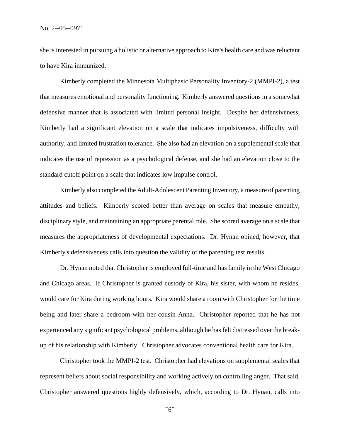she is interested in pursuing a holistic or alternative approach to Kira's health care and was reluctant to have Kira immunized.

Kimberly completed the Minnesota Multiphasic Personality Inventory-2 (MMPI-2), a test that measures emotional and personality functioning. Kimberly answered questions in a somewhat defensive manner that is associated with limited personal insight. Despite her defensiveness, Kimberly had a significant elevation on a scale that indicates impulsiveness, difficulty with authority, and limited frustration tolerance. She also had an elevation on a supplemental scale that indicates the use of repression as a psychological defense, and she had an elevation close to the standard cutoff point on a scale that indicates low impulse control.

Kimberly also completed the Adult-Adolescent Parenting Inventory, a measure of parenting attitudes and beliefs. Kimberly scored better than average on scales that measure empathy, disciplinary style, and maintaining an appropriate parental role. She scored average on a scale that measures the appropriateness of developmental expectations. Dr. Hynan opined, however, that Kimberly's defensiveness calls into question the validity of the parenting test results.

 Dr. Hynan noted that Christopher is employed full-time and has family in the West Chicago and Chicago areas. If Christopher is granted custody of Kira, his sister, with whom he resides, would care for Kira during working hours. Kira would share a room with Christopher for the time being and later share a bedroom with her cousin Anna. Christopher reported that he has not experienced any significant psychological problems, although he has felt distressed over the breakup of his relationship with Kimberly. Christopher advocates conventional health care for Kira.

Christopher took the MMPI-2 test. Christopher had elevations on supplemental scales that represent beliefs about social responsibility and working actively on controlling anger. That said, Christopher answered questions highly defensively, which, according to Dr. Hynan, calls into

 $5^{\circ}$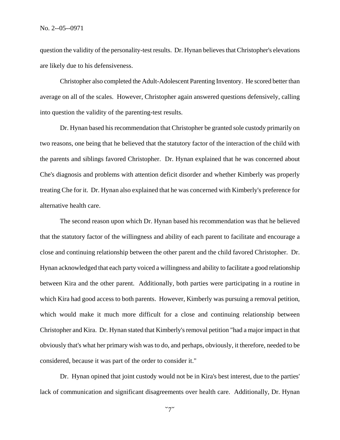question the validity of the personality-test results. Dr. Hynan believes that Christopher's elevations are likely due to his defensiveness.

Christopher also completed the Adult-Adolescent Parenting Inventory. He scored better than average on all of the scales. However, Christopher again answered questions defensively, calling into question the validity of the parenting-test results.

Dr. Hynan based his recommendation that Christopher be granted sole custody primarily on two reasons, one being that he believed that the statutory factor of the interaction of the child with the parents and siblings favored Christopher. Dr. Hynan explained that he was concerned about Che's diagnosis and problems with attention deficit disorder and whether Kimberly was properly treating Che for it. Dr. Hynan also explained that he was concerned with Kimberly's preference for alternative health care.

The second reason upon which Dr. Hynan based his recommendation was that he believed that the statutory factor of the willingness and ability of each parent to facilitate and encourage a close and continuing relationship between the other parent and the child favored Christopher. Dr. Hynan acknowledged that each party voiced a willingness and ability to facilitate a good relationship between Kira and the other parent. Additionally, both parties were participating in a routine in which Kira had good access to both parents. However, Kimberly was pursuing a removal petition, which would make it much more difficult for a close and continuing relationship between Christopher and Kira. Dr. Hynan stated that Kimberly's removal petition "had a major impact in that obviously that's what her primary wish was to do, and perhaps, obviously, it therefore, needed to be considered, because it was part of the order to consider it."

Dr. Hynan opined that joint custody would not be in Kira's best interest, due to the parties' lack of communication and significant disagreements over health care. Additionally, Dr. Hynan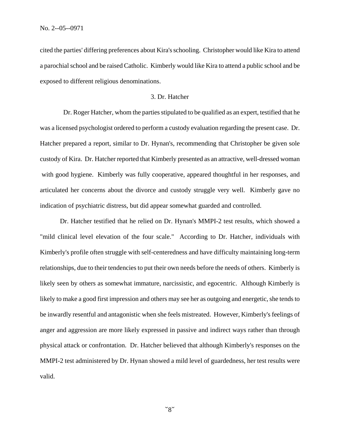cited the parties' differing preferences about Kira's schooling. Christopher would like Kira to attend a parochial school and be raised Catholic. Kimberly would like Kira to attend a public school and be exposed to different religious denominations.

### 3. Dr. Hatcher

 Dr. Roger Hatcher, whom the parties stipulated to be qualified as an expert, testified that he was a licensed psychologist ordered to perform a custody evaluation regarding the present case. Dr. Hatcher prepared a report, similar to Dr. Hynan's, recommending that Christopher be given sole custody of Kira. Dr. Hatcher reported that Kimberly presented as an attractive, well-dressed woman with good hygiene. Kimberly was fully cooperative, appeared thoughtful in her responses, and articulated her concerns about the divorce and custody struggle very well. Kimberly gave no indication of psychiatric distress, but did appear somewhat guarded and controlled.

Dr. Hatcher testified that he relied on Dr. Hynan's MMPI-2 test results, which showed a "mild clinical level elevation of the four scale." According to Dr. Hatcher, individuals with Kimberly's profile often struggle with self-centeredness and have difficulty maintaining long-term relationships, due to their tendencies to put their own needs before the needs of others. Kimberly is likely seen by others as somewhat immature, narcissistic, and egocentric. Although Kimberly is likely to make a good first impression and others may see her as outgoing and energetic, she tends to be inwardly resentful and antagonistic when she feels mistreated. However, Kimberly's feelings of anger and aggression are more likely expressed in passive and indirect ways rather than through physical attack or confrontation. Dr. Hatcher believed that although Kimberly's responses on the MMPI-2 test administered by Dr. Hynan showed a mild level of guardedness, her test results were valid.

 $\degree$ 8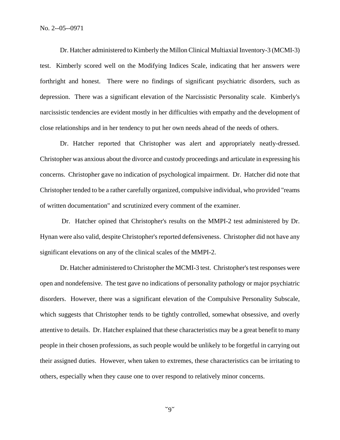Dr. Hatcher administered to Kimberly the Millon Clinical Multiaxial Inventory-3 (MCMI-3) test. Kimberly scored well on the Modifying Indices Scale, indicating that her answers were forthright and honest. There were no findings of significant psychiatric disorders, such as depression. There was a significant elevation of the Narcissistic Personality scale. Kimberly's narcissistic tendencies are evident mostly in her difficulties with empathy and the development of close relationships and in her tendency to put her own needs ahead of the needs of others.

Dr. Hatcher reported that Christopher was alert and appropriately neatly-dressed. Christopher was anxious about the divorce and custody proceedings and articulate in expressing his concerns. Christopher gave no indication of psychological impairment. Dr. Hatcher did note that Christopher tended to be a rather carefully organized, compulsive individual, who provided "reams of written documentation" and scrutinized every comment of the examiner.

 Dr. Hatcher opined that Christopher's results on the MMPI-2 test administered by Dr. Hynan were also valid, despite Christopher's reported defensiveness. Christopher did not have any significant elevations on any of the clinical scales of the MMPI-2.

Dr. Hatcher administered to Christopher the MCMI-3 test. Christopher's test responses were open and nondefensive. The test gave no indications of personality pathology or major psychiatric disorders. However, there was a significant elevation of the Compulsive Personality Subscale, which suggests that Christopher tends to be tightly controlled, somewhat obsessive, and overly attentive to details. Dr. Hatcher explained that these characteristics may be a great benefit to many people in their chosen professions, as such people would be unlikely to be forgetful in carrying out their assigned duties. However, when taken to extremes, these characteristics can be irritating to others, especially when they cause one to over respond to relatively minor concerns.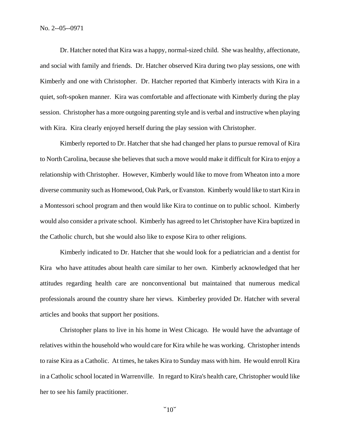Dr. Hatcher noted that Kira was a happy, normal-sized child. She was healthy, affectionate, and social with family and friends. Dr. Hatcher observed Kira during two play sessions, one with Kimberly and one with Christopher. Dr. Hatcher reported that Kimberly interacts with Kira in a quiet, soft-spoken manner. Kira was comfortable and affectionate with Kimberly during the play session. Christopher has a more outgoing parenting style and is verbal and instructive when playing with Kira. Kira clearly enjoyed herself during the play session with Christopher.

Kimberly reported to Dr. Hatcher that she had changed her plans to pursue removal of Kira to North Carolina, because she believes that such a move would make it difficult for Kira to enjoy a relationship with Christopher. However, Kimberly would like to move from Wheaton into a more diverse community such as Homewood, Oak Park, or Evanston. Kimberly would like to start Kira in a Montessori school program and then would like Kira to continue on to public school. Kimberly would also consider a private school. Kimberly has agreed to let Christopher have Kira baptized in the Catholic church, but she would also like to expose Kira to other religions.

Kimberly indicated to Dr. Hatcher that she would look for a pediatrician and a dentist for Kira who have attitudes about health care similar to her own. Kimberly acknowledged that her attitudes regarding health care are nonconventional but maintained that numerous medical professionals around the country share her views. Kimberley provided Dr. Hatcher with several articles and books that support her positions.

Christopher plans to live in his home in West Chicago. He would have the advantage of relatives within the household who would care for Kira while he was working. Christopher intends to raise Kira as a Catholic. At times, he takes Kira to Sunday mass with him. He would enroll Kira in a Catholic school located in Warrenville. In regard to Kira's health care, Christopher would like her to see his family practitioner.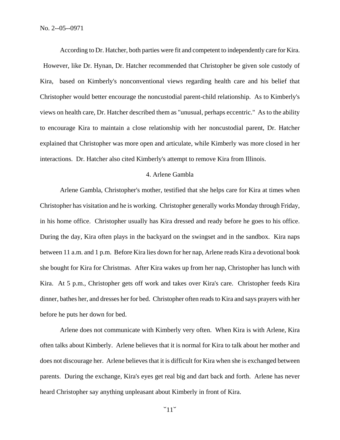According to Dr. Hatcher, both parties were fit and competent to independently care for Kira. However, like Dr. Hynan, Dr. Hatcher recommended that Christopher be given sole custody of Kira, based on Kimberly's nonconventional views regarding health care and his belief that Christopher would better encourage the noncustodial parent-child relationship. As to Kimberly's views on health care, Dr. Hatcher described them as "unusual, perhaps eccentric." As to the ability to encourage Kira to maintain a close relationship with her noncustodial parent, Dr. Hatcher explained that Christopher was more open and articulate, while Kimberly was more closed in her interactions. Dr. Hatcher also cited Kimberly's attempt to remove Kira from Illinois.

### 4. Arlene Gambla

Arlene Gambla, Christopher's mother, testified that she helps care for Kira at times when Christopher has visitation and he is working. Christopher generally works Monday through Friday, in his home office. Christopher usually has Kira dressed and ready before he goes to his office. During the day, Kira often plays in the backyard on the swingset and in the sandbox. Kira naps between 11 a.m. and 1 p.m. Before Kira lies down for her nap, Arlene reads Kira a devotional book she bought for Kira for Christmas. After Kira wakes up from her nap, Christopher has lunch with Kira. At 5 p.m., Christopher gets off work and takes over Kira's care. Christopher feeds Kira dinner, bathes her, and dresses her for bed. Christopher often reads to Kira and says prayers with her before he puts her down for bed.

Arlene does not communicate with Kimberly very often. When Kira is with Arlene, Kira often talks about Kimberly. Arlene believes that it is normal for Kira to talk about her mother and does not discourage her. Arlene believes that it is difficult for Kira when she is exchanged between parents. During the exchange, Kira's eyes get real big and dart back and forth. Arlene has never heard Christopher say anything unpleasant about Kimberly in front of Kira.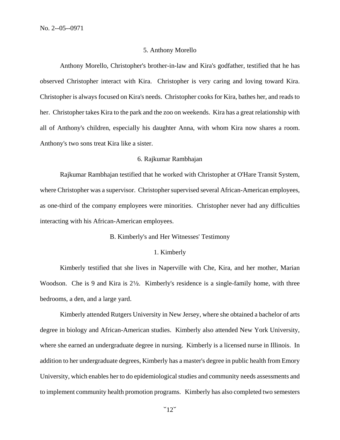### 5. Anthony Morello

Anthony Morello, Christopher's brother-in-law and Kira's godfather, testified that he has observed Christopher interact with Kira. Christopher is very caring and loving toward Kira. Christopher is always focused on Kira's needs. Christopher cooks for Kira, bathes her, and reads to her. Christopher takes Kira to the park and the zoo on weekends. Kira has a great relationship with all of Anthony's children, especially his daughter Anna, with whom Kira now shares a room. Anthony's two sons treat Kira like a sister.

### 6. Rajkumar Rambhajan

Rajkumar Rambhajan testified that he worked with Christopher at O'Hare Transit System, where Christopher was a supervisor. Christopher supervised several African-American employees, as one-third of the company employees were minorities. Christopher never had any difficulties interacting with his African-American employees.

#### B. Kimberly's and Her Witnesses' Testimony

### 1. Kimberly

Kimberly testified that she lives in Naperville with Che, Kira, and her mother, Marian Woodson. Che is 9 and Kira is 2<sup>1</sup>/<sub>2</sub>. Kimberly's residence is a single-family home, with three bedrooms, a den, and a large yard.

Kimberly attended Rutgers University in New Jersey, where she obtained a bachelor of arts degree in biology and African-American studies. Kimberly also attended New York University, where she earned an undergraduate degree in nursing. Kimberly is a licensed nurse in Illinois. In addition to her undergraduate degrees, Kimberly has a master's degree in public health from Emory University, which enables her to do epidemiological studies and community needs assessments and to implement community health promotion programs. Kimberly has also completed two semesters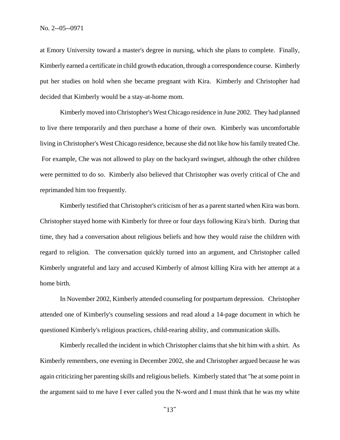at Emory University toward a master's degree in nursing, which she plans to complete. Finally, Kimberly earned a certificate in child growth education, through a correspondence course. Kimberly put her studies on hold when she became pregnant with Kira. Kimberly and Christopher had decided that Kimberly would be a stay-at-home mom.

Kimberly moved into Christopher's West Chicago residence in June 2002. They had planned to live there temporarily and then purchase a home of their own. Kimberly was uncomfortable living in Christopher's West Chicago residence, because she did not like how his family treated Che. For example, Che was not allowed to play on the backyard swingset, although the other children were permitted to do so. Kimberly also believed that Christopher was overly critical of Che and reprimanded him too frequently.

Kimberly testified that Christopher's criticism of her as a parent started when Kira was born. Christopher stayed home with Kimberly for three or four days following Kira's birth. During that time, they had a conversation about religious beliefs and how they would raise the children with regard to religion. The conversation quickly turned into an argument, and Christopher called Kimberly ungrateful and lazy and accused Kimberly of almost killing Kira with her attempt at a home birth.

In November 2002, Kimberly attended counseling for postpartum depression. Christopher attended one of Kimberly's counseling sessions and read aloud a 14-page document in which he questioned Kimberly's religious practices, child-rearing ability, and communication skills.

Kimberly recalled the incident in which Christopher claims that she hit him with a shirt. As Kimberly remembers, one evening in December 2002, she and Christopher argued because he was again criticizing her parenting skills and religious beliefs. Kimberly stated that "he at some point in the argument said to me have I ever called you the N-word and I must think that he was my white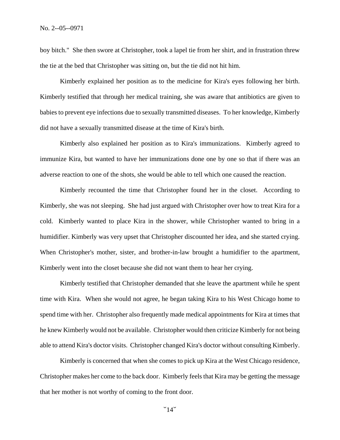boy bitch." She then swore at Christopher, took a lapel tie from her shirt, and in frustration threw the tie at the bed that Christopher was sitting on, but the tie did not hit him.

Kimberly explained her position as to the medicine for Kira's eyes following her birth. Kimberly testified that through her medical training, she was aware that antibiotics are given to babies to prevent eye infections due to sexually transmitted diseases. To her knowledge, Kimberly did not have a sexually transmitted disease at the time of Kira's birth.

Kimberly also explained her position as to Kira's immunizations. Kimberly agreed to immunize Kira, but wanted to have her immunizations done one by one so that if there was an adverse reaction to one of the shots, she would be able to tell which one caused the reaction.

Kimberly recounted the time that Christopher found her in the closet. According to Kimberly, she was not sleeping. She had just argued with Christopher over how to treat Kira for a cold. Kimberly wanted to place Kira in the shower, while Christopher wanted to bring in a humidifier. Kimberly was very upset that Christopher discounted her idea, and she started crying. When Christopher's mother, sister, and brother-in-law brought a humidifier to the apartment, Kimberly went into the closet because she did not want them to hear her crying.

Kimberly testified that Christopher demanded that she leave the apartment while he spent time with Kira. When she would not agree, he began taking Kira to his West Chicago home to spend time with her. Christopher also frequently made medical appointments for Kira at times that he knew Kimberly would not be available. Christopher would then criticize Kimberly for not being able to attend Kira's doctor visits. Christopher changed Kira's doctor without consulting Kimberly.

Kimberly is concerned that when she comes to pick up Kira at the West Chicago residence, Christopher makes her come to the back door. Kimberly feels that Kira may be getting the message that her mother is not worthy of coming to the front door.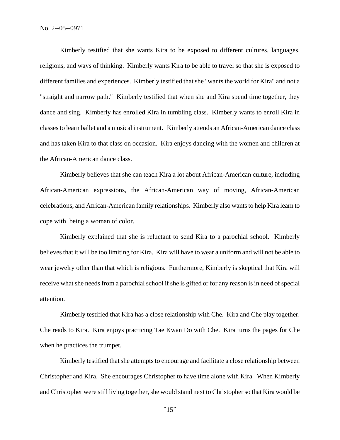Kimberly testified that she wants Kira to be exposed to different cultures, languages, religions, and ways of thinking. Kimberly wants Kira to be able to travel so that she is exposed to different families and experiences. Kimberly testified that she "wants the world for Kira" and not a "straight and narrow path." Kimberly testified that when she and Kira spend time together, they dance and sing. Kimberly has enrolled Kira in tumbling class. Kimberly wants to enroll Kira in classes to learn ballet and a musical instrument. Kimberly attends an African-American dance class and has taken Kira to that class on occasion. Kira enjoys dancing with the women and children at the African-American dance class.

Kimberly believes that she can teach Kira a lot about African-American culture, including African-American expressions, the African-American way of moving, African-American celebrations, and African-American family relationships. Kimberly also wants to help Kira learn to cope with being a woman of color.

Kimberly explained that she is reluctant to send Kira to a parochial school. Kimberly believes that it will be too limiting for Kira. Kira will have to wear a uniform and will not be able to wear jewelry other than that which is religious. Furthermore, Kimberly is skeptical that Kira will receive what she needs from a parochial school if she is gifted or for any reason is in need of special attention.

Kimberly testified that Kira has a close relationship with Che. Kira and Che play together. Che reads to Kira. Kira enjoys practicing Tae Kwan Do with Che. Kira turns the pages for Che when he practices the trumpet.

Kimberly testified that she attempts to encourage and facilitate a close relationship between Christopher and Kira. She encourages Christopher to have time alone with Kira. When Kimberly and Christopher were still living together, she would stand next to Christopher so that Kira would be

 $\degree$ 15 $\degree$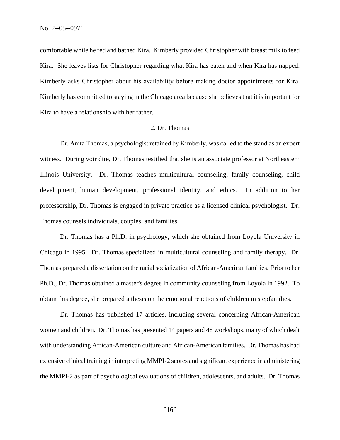comfortable while he fed and bathed Kira. Kimberly provided Christopher with breast milk to feed Kira. She leaves lists for Christopher regarding what Kira has eaten and when Kira has napped. Kimberly asks Christopher about his availability before making doctor appointments for Kira. Kimberly has committed to staying in the Chicago area because she believes that it is important for Kira to have a relationship with her father.

### 2. Dr. Thomas

Dr. Anita Thomas, a psychologist retained by Kimberly, was called to the stand as an expert witness. During voir dire, Dr. Thomas testified that she is an associate professor at Northeastern Illinois University. Dr. Thomas teaches multicultural counseling, family counseling, child development, human development, professional identity, and ethics. In addition to her professorship, Dr. Thomas is engaged in private practice as a licensed clinical psychologist. Dr. Thomas counsels individuals, couples, and families.

Dr. Thomas has a Ph.D. in psychology, which she obtained from Loyola University in Chicago in 1995. Dr. Thomas specialized in multicultural counseling and family therapy. Dr. Thomas prepared a dissertation on the racial socialization of African-American families. Prior to her Ph.D., Dr. Thomas obtained a master's degree in community counseling from Loyola in 1992. To obtain this degree, she prepared a thesis on the emotional reactions of children in stepfamilies.

Dr. Thomas has published 17 articles, including several concerning African-American women and children. Dr. Thomas has presented 14 papers and 48 workshops, many of which dealt with understanding African-American culture and African-American families. Dr. Thomas has had extensive clinical training in interpreting MMPI-2 scores and significant experience in administering the MMPI-2 as part of psychological evaluations of children, adolescents, and adults. Dr. Thomas

 $\degree$ 16 $\degree$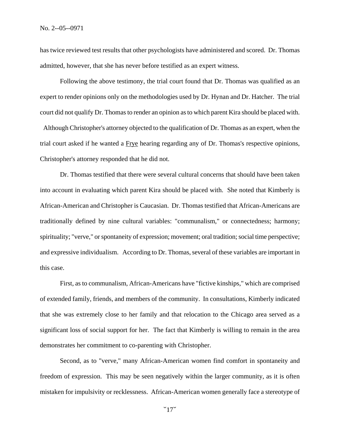has twice reviewed test results that other psychologists have administered and scored. Dr. Thomas admitted, however, that she has never before testified as an expert witness.

Following the above testimony, the trial court found that Dr. Thomas was qualified as an expert to render opinions only on the methodologies used by Dr. Hynan and Dr. Hatcher. The trial court did not qualify Dr. Thomas to render an opinion as to which parent Kira should be placed with. Although Christopher's attorney objected to the qualification of Dr. Thomas as an expert, when the trial court asked if he wanted a Frye hearing regarding any of Dr. Thomas's respective opinions, Christopher's attorney responded that he did not.

Dr. Thomas testified that there were several cultural concerns that should have been taken into account in evaluating which parent Kira should be placed with. She noted that Kimberly is African-American and Christopher is Caucasian. Dr. Thomas testified that African-Americans are traditionally defined by nine cultural variables: "communalism," or connectedness; harmony; spirituality; "verve," or spontaneity of expression; movement; oral tradition; social time perspective; and expressive individualism. According to Dr. Thomas, several of these variables are important in this case.

First, as to communalism, African-Americans have "fictive kinships," which are comprised of extended family, friends, and members of the community. In consultations, Kimberly indicated that she was extremely close to her family and that relocation to the Chicago area served as a significant loss of social support for her. The fact that Kimberly is willing to remain in the area demonstrates her commitment to co-parenting with Christopher.

Second, as to "verve," many African-American women find comfort in spontaneity and freedom of expression. This may be seen negatively within the larger community, as it is often mistaken for impulsivity or recklessness. African-American women generally face a stereotype of

 $\degree$ 17 $\degree$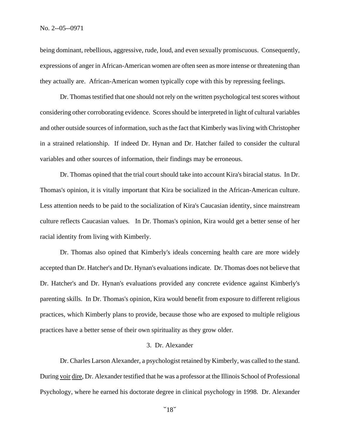being dominant, rebellious, aggressive, rude, loud, and even sexually promiscuous. Consequently, expressions of anger in African-American women are often seen as more intense or threatening than they actually are. African-American women typically cope with this by repressing feelings.

Dr. Thomas testified that one should not rely on the written psychological test scores without considering other corroborating evidence. Scores should be interpreted in light of cultural variables and other outside sources of information, such as the fact that Kimberly was living with Christopher in a strained relationship. If indeed Dr. Hynan and Dr. Hatcher failed to consider the cultural variables and other sources of information, their findings may be erroneous.

Dr. Thomas opined that the trial court should take into account Kira's biracial status. In Dr. Thomas's opinion, it is vitally important that Kira be socialized in the African-American culture. Less attention needs to be paid to the socialization of Kira's Caucasian identity, since mainstream culture reflects Caucasian values*.* In Dr. Thomas's opinion, Kira would get a better sense of her racial identity from living with Kimberly.

Dr. Thomas also opined that Kimberly's ideals concerning health care are more widely accepted than Dr. Hatcher's and Dr. Hynan's evaluations indicate. Dr. Thomas does not believe that Dr. Hatcher's and Dr. Hynan's evaluations provided any concrete evidence against Kimberly's parenting skills. In Dr. Thomas's opinion, Kira would benefit from exposure to different religious practices, which Kimberly plans to provide, because those who are exposed to multiple religious practices have a better sense of their own spirituality as they grow older.

# 3. Dr. Alexander

Dr. Charles Larson Alexander, a psychologist retained by Kimberly, was called to the stand. During voir dire, Dr. Alexander testified that he was a professor at the Illinois School of Professional Psychology, where he earned his doctorate degree in clinical psychology in 1998. Dr. Alexander

 $\degree$ 18 $\degree$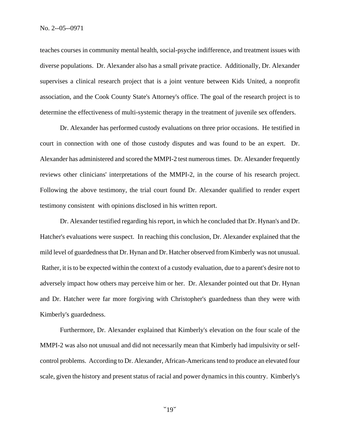teaches courses in community mental health, social-psyche indifference, and treatment issues with diverse populations. Dr. Alexander also has a small private practice. Additionally, Dr. Alexander supervises a clinical research project that is a joint venture between Kids United, a nonprofit association, and the Cook County State's Attorney's office. The goal of the research project is to determine the effectiveness of multi-systemic therapy in the treatment of juvenile sex offenders.

Dr. Alexander has performed custody evaluations on three prior occasions. He testified in court in connection with one of those custody disputes and was found to be an expert. Dr. Alexander has administered and scored the MMPI-2 test numerous times. Dr. Alexander frequently reviews other clinicians' interpretations of the MMPI-2, in the course of his research project. Following the above testimony, the trial court found Dr. Alexander qualified to render expert testimony consistent with opinions disclosed in his written report.

Dr. Alexander testified regarding his report, in which he concluded that Dr. Hynan's and Dr. Hatcher's evaluations were suspect. In reaching this conclusion, Dr. Alexander explained that the mild level of guardedness that Dr. Hynan and Dr. Hatcher observed from Kimberly was not unusual. Rather, it is to be expected within the context of a custody evaluation, due to a parent's desire not to adversely impact how others may perceive him or her. Dr. Alexander pointed out that Dr. Hynan and Dr. Hatcher were far more forgiving with Christopher's guardedness than they were with Kimberly's guardedness.

Furthermore, Dr. Alexander explained that Kimberly's elevation on the four scale of the MMPI-2 was also not unusual and did not necessarily mean that Kimberly had impulsivity or selfcontrol problems. According to Dr. Alexander, African-Americans tend to produce an elevated four scale, given the history and present status of racial and power dynamics in this country. Kimberly's

 $"19"$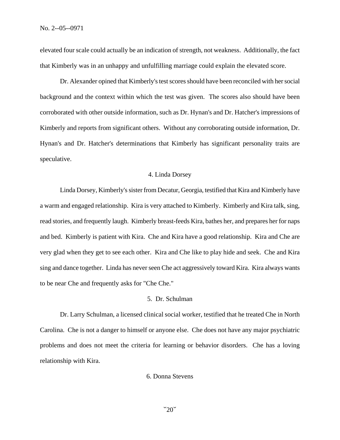elevated four scale could actually be an indication of strength, not weakness. Additionally, the fact that Kimberly was in an unhappy and unfulfilling marriage could explain the elevated score.

Dr. Alexander opined that Kimberly's test scores should have been reconciled with her social background and the context within which the test was given. The scores also should have been corroborated with other outside information, such as Dr. Hynan's and Dr. Hatcher's impressions of Kimberly and reports from significant others. Without any corroborating outside information, Dr. Hynan's and Dr. Hatcher's determinations that Kimberly has significant personality traits are speculative.

### 4. Linda Dorsey

Linda Dorsey, Kimberly's sister from Decatur, Georgia, testified that Kira and Kimberly have a warm and engaged relationship. Kira is very attached to Kimberly. Kimberly and Kira talk, sing, read stories, and frequently laugh. Kimberly breast-feeds Kira, bathes her, and prepares her for naps and bed. Kimberly is patient with Kira. Che and Kira have a good relationship. Kira and Che are very glad when they get to see each other. Kira and Che like to play hide and seek. Che and Kira sing and dance together. Linda has never seen Che act aggressively toward Kira. Kira always wants to be near Che and frequently asks for "Che Che."

### 5. Dr. Schulman

Dr. Larry Schulman, a licensed clinical social worker, testified that he treated Che in North Carolina. Che is not a danger to himself or anyone else. Che does not have any major psychiatric problems and does not meet the criteria for learning or behavior disorders. Che has a loving relationship with Kira.

### 6. Donna Stevens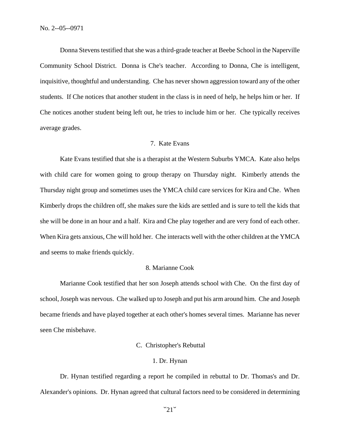Donna Stevens testified that she was a third-grade teacher at Beebe School in the Naperville Community School District. Donna is Che's teacher. According to Donna, Che is intelligent, inquisitive, thoughtful and understanding. Che has never shown aggression toward any of the other students. If Che notices that another student in the class is in need of help, he helps him or her. If Che notices another student being left out, he tries to include him or her. Che typically receives average grades.

# 7. Kate Evans

Kate Evans testified that she is a therapist at the Western Suburbs YMCA. Kate also helps with child care for women going to group therapy on Thursday night. Kimberly attends the Thursday night group and sometimes uses the YMCA child care services for Kira and Che. When Kimberly drops the children off, she makes sure the kids are settled and is sure to tell the kids that she will be done in an hour and a half. Kira and Che play together and are very fond of each other. When Kira gets anxious, Che will hold her. Che interacts well with the other children at the YMCA and seems to make friends quickly.

#### 8. Marianne Cook

Marianne Cook testified that her son Joseph attends school with Che. On the first day of school, Joseph was nervous. Che walked up to Joseph and put his arm around him. Che and Joseph became friends and have played together at each other's homes several times. Marianne has never seen Che misbehave.

### C. Christopher's Rebuttal

#### 1. Dr. Hynan

Dr. Hynan testified regarding a report he compiled in rebuttal to Dr. Thomas's and Dr. Alexander's opinions. Dr. Hynan agreed that cultural factors need to be considered in determining

 $"21"$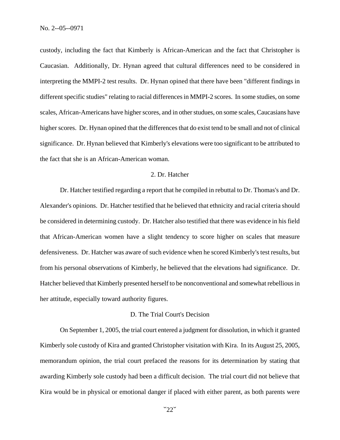custody, including the fact that Kimberly is African-American and the fact that Christopher is Caucasian. Additionally, Dr. Hynan agreed that cultural differences need to be considered in interpreting the MMPI-2 test results. Dr. Hynan opined that there have been "different findings in different specific studies" relating to racial differences in MMPI-2 scores. In some studies, on some scales, African-Americans have higher scores, and in other studues, on some scales, Caucasians have higher scores. Dr. Hynan opined that the differences that do exist tend to be small and not of clinical significance. Dr. Hynan believed that Kimberly's elevations were too significant to be attributed to the fact that she is an African-American woman.

# 2. Dr. Hatcher

Dr. Hatcher testified regarding a report that he compiled in rebuttal to Dr. Thomas's and Dr. Alexander's opinions. Dr. Hatcher testified that he believed that ethnicity and racial criteria should be considered in determining custody. Dr. Hatcher also testified that there was evidence in his field that African-American women have a slight tendency to score higher on scales that measure defensiveness. Dr. Hatcher was aware of such evidence when he scored Kimberly's test results, but from his personal observations of Kimberly, he believed that the elevations had significance. Dr. Hatcher believed that Kimberly presented herself to be nonconventional and somewhat rebellious in her attitude, especially toward authority figures.

### D. The Trial Court's Decision

On September 1, 2005, the trial court entered a judgment for dissolution, in which it granted Kimberly sole custody of Kira and granted Christopher visitation with Kira. In its August 25, 2005, memorandum opinion, the trial court prefaced the reasons for its determination by stating that awarding Kimberly sole custody had been a difficult decision. The trial court did not believe that Kira would be in physical or emotional danger if placed with either parent, as both parents were

 $"22"$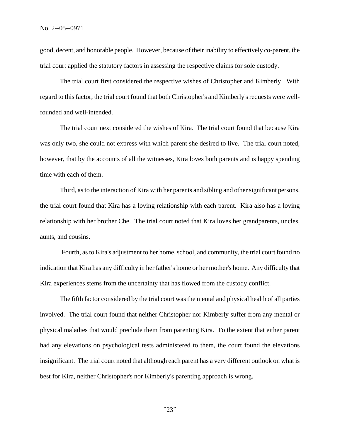good, decent, and honorable people. However, because of their inability to effectively co-parent, the trial court applied the statutory factors in assessing the respective claims for sole custody.

The trial court first considered the respective wishes of Christopher and Kimberly. With regard to this factor, the trial court found that both Christopher's and Kimberly's requests were wellfounded and well-intended.

The trial court next considered the wishes of Kira. The trial court found that because Kira was only two, she could not express with which parent she desired to live. The trial court noted, however, that by the accounts of all the witnesses, Kira loves both parents and is happy spending time with each of them.

Third, as to the interaction of Kira with her parents and sibling and other significant persons, the trial court found that Kira has a loving relationship with each parent. Kira also has a loving relationship with her brother Che. The trial court noted that Kira loves her grandparents, uncles, aunts, and cousins.

 Fourth, as to Kira's adjustment to her home, school, and community, the trial court found no indication that Kira has any difficulty in her father's home or her mother's home. Any difficulty that Kira experiences stems from the uncertainty that has flowed from the custody conflict.

The fifth factor considered by the trial court was the mental and physical health of all parties involved. The trial court found that neither Christopher nor Kimberly suffer from any mental or physical maladies that would preclude them from parenting Kira. To the extent that either parent had any elevations on psychological tests administered to them, the court found the elevations insignificant. The trial court noted that although each parent has a very different outlook on what is best for Kira, neither Christopher's nor Kimberly's parenting approach is wrong.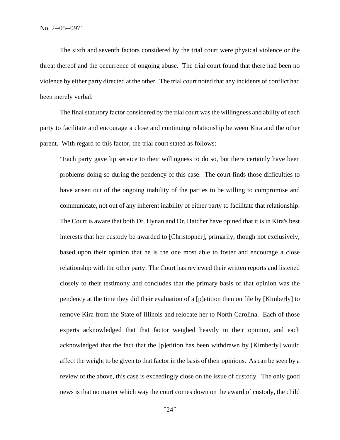The sixth and seventh factors considered by the trial court were physical violence or the threat thereof and the occurrence of ongoing abuse. The trial court found that there had been no violence by either party directed at the other. The trial court noted that any incidents of conflict had been merely verbal.

The final statutory factor considered by the trial court was the willingness and ability of each party to facilitate and encourage a close and continuing relationship between Kira and the other parent. With regard to this factor, the trial court stated as follows:

"Each party gave lip service to their willingness to do so, but there certainly have been problems doing so during the pendency of this case. The court finds those difficulties to have arisen out of the ongoing inability of the parties to be willing to compromise and communicate, not out of any inherent inability of either party to facilitate that relationship. The Court is aware that both Dr. Hynan and Dr. Hatcher have opined that it is in Kira's best interests that her custody be awarded to [Christopher], primarily, though not exclusively, based upon their opinion that he is the one most able to foster and encourage a close relationship with the other party. The Court has reviewed their written reports and listened closely to their testimony and concludes that the primary basis of that opinion was the pendency at the time they did their evaluation of a [p]etition then on file by [Kimberly] to remove Kira from the State of Illinois and relocate her to North Carolina. Each of those experts acknowledged that that factor weighed heavily in their opinion, and each acknowledged that the fact that the [p]etition has been withdrawn by [Kimberly] would affect the weight to be given to that factor in the basis of their opinions. As can be seen by a review of the above, this case is exceedingly close on the issue of custody. The only good news is that no matter which way the court comes down on the award of custody, the child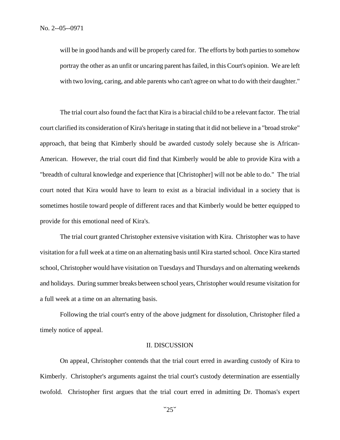will be in good hands and will be properly cared for. The efforts by both parties to somehow portray the other as an unfit or uncaring parent has failed, in this Court's opinion. We are left with two loving, caring, and able parents who can't agree on what to do with their daughter."

The trial court also found the fact that Kira is a biracial child to be a relevant factor. The trial court clarified its consideration of Kira's heritage in stating that it did not believe in a "broad stroke" approach, that being that Kimberly should be awarded custody solely because she is African-American. However, the trial court did find that Kimberly would be able to provide Kira with a "breadth of cultural knowledge and experience that [Christopher] will not be able to do." The trial court noted that Kira would have to learn to exist as a biracial individual in a society that is sometimes hostile toward people of different races and that Kimberly would be better equipped to provide for this emotional need of Kira's.

The trial court granted Christopher extensive visitation with Kira. Christopher was to have visitation for a full week at a time on an alternating basis until Kira started school. Once Kira started school, Christopher would have visitation on Tuesdays and Thursdays and on alternating weekends and holidays. During summer breaks between school years, Christopher would resume visitation for a full week at a time on an alternating basis.

Following the trial court's entry of the above judgment for dissolution, Christopher filed a timely notice of appeal.

### II. DISCUSSION

On appeal, Christopher contends that the trial court erred in awarding custody of Kira to Kimberly. Christopher's arguments against the trial court's custody determination are essentially twofold. Christopher first argues that the trial court erred in admitting Dr. Thomas's expert

 $"25"$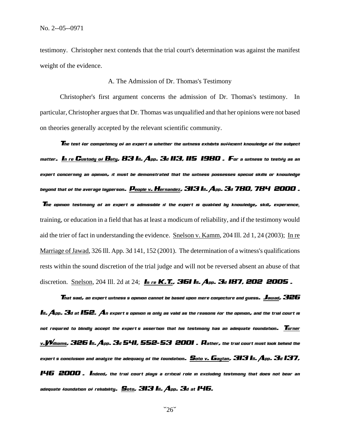testimony. Christopher next contends that the trial court's determination was against the manifest weight of the evidence.

### A. The Admission of Dr. Thomas's Testimony

Christopher's first argument concerns the admission of Dr. Thomas's testimony. In particular, Christopher argues that Dr. Thomas was unqualified and that her opinions were not based on theories generally accepted by the relevant scientific community.

*The test for competency of an expert is whether the witness exhibits sufficient knowledge of the subject matter. In re Custody of Baty, 83 Ill. App. 3d 113, 115 (1980). For a witness to testify as an expert concerning an opinion, it must be demonstrated that the witness possesses special skills or knowledge beyond that of the average layperson. People v. Hernandez, 313 Ill. App. 3d 780, 784 (2000).* 

 *The opinion testimony of an expert is admissible if the expert is qualified by knowledge, skill, experience*, training, or education in a field that has at least a modicum of reliability, and if the testimony would aid the trier of fact in understanding the evidence. Snelson v. Kamm, 204 Ill. 2d 1, 24 (2003); In re Marriage of Jawad, 326 Ill. App. 3d 141, 152 (2001). The determination of a witness's qualifications rests within the sound discretion of the trial judge and will not be reversed absent an abuse of that discretion. Snelson, 204 Ill. 2d at 24; *In re K.T., 361 In. App. 3d 187, 202 2005*.

 *That said, an expert witness's opinion cannot be based upon mere conjecture and guess. Jawad, 326 III.*  $A$ *pp.*  $B$ *d at IS2.*  $A$ *n expert s opinion is only as valid as the reasons for the opinion, and the trial court is not required to blindly accept the expert's assertion that his testimony has an adequate foundation. Turner v.Williams, 326 Ill. App. 3d 541, 552-53 (2001). Rather, the trial court must look behind the expert's conclusion and analyze the adequacy of the foundation. Soto v. Gaytan, 313 Ill. App. 3d 137, 146 (2000). Indeed, the trial court plays a critical role in excluding testimony that does not bear an adequate foundation of reliability. Soto, 313 Ill. App. 3d at 146.*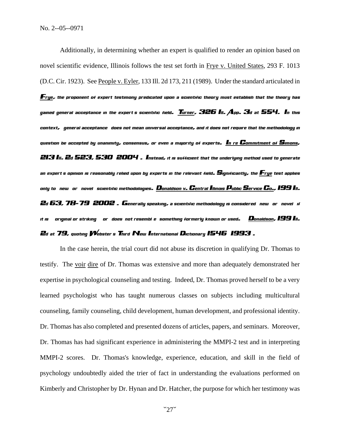Additionally, in determining whether an expert is qualified to render an opinion based on novel scientific evidence, Illinois follows the test set forth in Frye v. United States, 293 F. 1013 (D.C. Cir. 1923). See People v. Eyler, 133 Ill. 2d 173, 211 (1989). Under the standard articulated in *Frye, the proponent of expert testimony predicated upon a scientific theory must establish that the theory has gained general acceptance in the expert's scientific field. Turner, 326 Ill. App. 3d at 554. In this context, "general acceptance" does not mean universal acceptance, and it does not require that the methodology in question be accepted by unanimity, consensus, or even a majority of experts. In re Commitment of Simons, 213 Ill. 2d 523, 530 (2004). Instead, it is sufficient that the underlying method used to generate an expert's opinion is reasonably relied upon by experts in the relevant field. Significantly, the Frye test applies only to "new" or "novel" scientific methodologies. Donaldson v. Central Illinois Public Service Co., 199 Ill. 2d 63, 78-79 (2002). Generally speaking, a scientific methodology is considered "new" or "novel" if it is " original or striking " or "does not resemble something formerly known or used." Donaldson, 199 Ill. 2d at 79, quoting Webster's Third New International Dictionary 1546 (1993).* 

In the case herein, the trial court did not abuse its discretion in qualifying Dr. Thomas to testify. The voir dire of Dr. Thomas was extensive and more than adequately demonstrated her expertise in psychological counseling and testing. Indeed, Dr. Thomas proved herself to be a very learned psychologist who has taught numerous classes on subjects including multicultural counseling, family counseling, child development, human development, and professional identity. Dr. Thomas has also completed and presented dozens of articles, papers, and seminars. Moreover, Dr. Thomas has had significant experience in administering the MMPI-2 test and in interpreting MMPI-2 scores. Dr. Thomas's knowledge, experience, education, and skill in the field of psychology undoubtedly aided the trier of fact in understanding the evaluations performed on Kimberly and Christopher by Dr. Hynan and Dr. Hatcher, the purpose for which her testimony was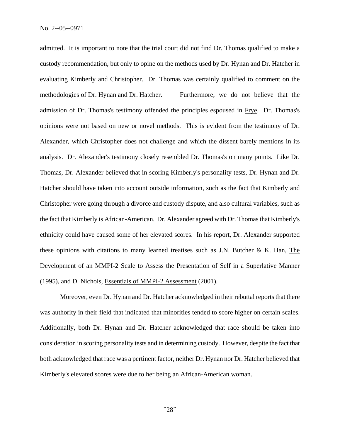admitted. It is important to note that the trial court did not find Dr. Thomas qualified to make a custody recommendation, but only to opine on the methods used by Dr. Hynan and Dr. Hatcher in evaluating Kimberly and Christopher. Dr. Thomas was certainly qualified to comment on the methodologies of Dr. Hynan and Dr. Hatcher. Furthermore, we do not believe that the admission of Dr. Thomas's testimony offended the principles espoused in Frye. Dr. Thomas's opinions were not based on new or novel methods. This is evident from the testimony of Dr. Alexander, which Christopher does not challenge and which the dissent barely mentions in its analysis. Dr. Alexander's testimony closely resembled Dr. Thomas's on many points. Like Dr. Thomas, Dr. Alexander believed that in scoring Kimberly's personality tests, Dr. Hynan and Dr. Hatcher should have taken into account outside information, such as the fact that Kimberly and Christopher were going through a divorce and custody dispute, and also cultural variables, such as the fact that Kimberly is African-American. Dr. Alexander agreed with Dr. Thomas that Kimberly's ethnicity could have caused some of her elevated scores. In his report, Dr. Alexander supported these opinions with citations to many learned treatises such as J.N. Butcher  $\&$  K. Han, The Development of an MMPI-2 Scale to Assess the Presentation of Self in a Superlative Manner (1995), and D. Nichols, Essentials of MMPI-2 Assessment (2001).

Moreover, even Dr. Hynan and Dr. Hatcher acknowledged in their rebuttal reports that there was authority in their field that indicated that minorities tended to score higher on certain scales. Additionally, both Dr. Hynan and Dr. Hatcher acknowledged that race should be taken into consideration in scoring personality tests and in determining custody. However, despite the fact that both acknowledged that race was a pertinent factor, neither Dr. Hynan nor Dr. Hatcher believed that Kimberly's elevated scores were due to her being an African-American woman.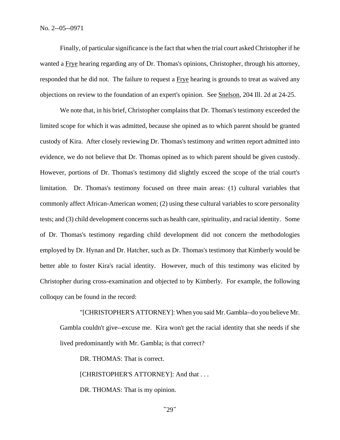Finally, of particular significance is the fact that when the trial court asked Christopher if he wanted a Frye hearing regarding any of Dr. Thomas's opinions, Christopher, through his attorney, responded that he did not. The failure to request a Frye hearing is grounds to treat as waived any objections on review to the foundation of an expert's opinion. See Snelson, 204 Ill. 2d at 24-25.

We note that, in his brief, Christopher complains that Dr. Thomas's testimony exceeded the limited scope for which it was admitted, because she opined as to which parent should be granted custody of Kira. After closely reviewing Dr. Thomas's testimony and written report admitted into evidence, we do not believe that Dr. Thomas opined as to which parent should be given custody. However, portions of Dr. Thomas's testimony did slightly exceed the scope of the trial court's limitation. Dr. Thomas's testimony focused on three main areas: (1) cultural variables that commonly affect African-American women; (2) using these cultural variables to score personality tests; and (3) child development concerns such as health care, spirituality, and racial identity. Some of Dr. Thomas's testimony regarding child development did not concern the methodologies employed by Dr. Hynan and Dr. Hatcher, such as Dr. Thomas's testimony that Kimberly would be better able to foster Kira's racial identity. However, much of this testimony was elicited by Christopher during cross-examination and objected to by Kimberly. For example, the following colloquy can be found in the record:

"[CHRISTOPHER'S ATTORNEY]: When you said Mr. Gambla--do you believe Mr. Gambla couldn't give--excuse me. Kira won't get the racial identity that she needs if she lived predominantly with Mr. Gambla; is that correct?

DR. THOMAS: That is correct.

[CHRISTOPHER'S ATTORNEY]: And that . . .

DR. THOMAS: That is my opinion.

 $"29"$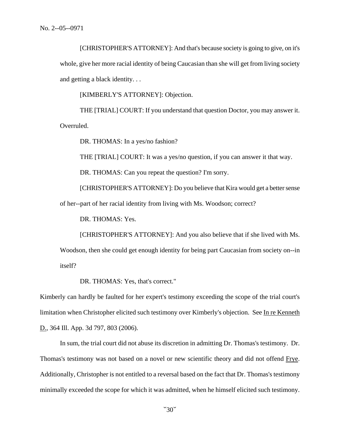[CHRISTOPHER'S ATTORNEY]: And that's because society is going to give, on it's whole, give her more racial identity of being Caucasian than she will get from living society and getting a black identity. . .

[KIMBERLY'S ATTORNEY]: Objection.

THE [TRIAL] COURT: If you understand that question Doctor, you may answer it. Overruled.

DR. THOMAS: In a yes/no fashion?

THE [TRIAL] COURT: It was a yes/no question, if you can answer it that way.

DR. THOMAS: Can you repeat the question? I'm sorry.

[CHRISTOPHER'S ATTORNEY]: Do you believe that Kira would get a better sense of her--part of her racial identity from living with Ms. Woodson; correct?

DR. THOMAS: Yes.

[CHRISTOPHER'S ATTORNEY]: And you also believe that if she lived with Ms.

Woodson, then she could get enough identity for being part Caucasian from society on--in itself?

DR. THOMAS: Yes, that's correct."

Kimberly can hardly be faulted for her expert's testimony exceeding the scope of the trial court's limitation when Christopher elicited such testimony over Kimberly's objection. See In re Kenneth D., 364 Ill. App. 3d 797, 803 (2006).

In sum, the trial court did not abuse its discretion in admitting Dr. Thomas's testimony. Dr. Thomas's testimony was not based on a novel or new scientific theory and did not offend Frye. Additionally, Christopher is not entitled to a reversal based on the fact that Dr. Thomas's testimony minimally exceeded the scope for which it was admitted, when he himself elicited such testimony.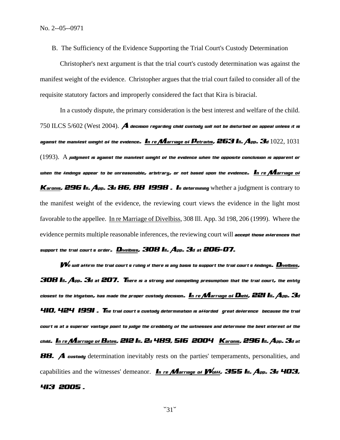B. The Sufficiency of the Evidence Supporting the Trial Court's Custody Determination

Christopher's next argument is that the trial court's custody determination was against the manifest weight of the evidence. Christopher argues that the trial court failed to consider all of the requisite statutory factors and improperly considered the fact that Kira is biracial.

In a custody dispute, the primary consideration is the best interest and welfare of the child. 750 ILCS 5/602 (West 2004). *A decision regarding child custody will not be disturbed on appeal unless it is against the manifest weight of the evidence. In re Marriage of Petraitis, 263 Iii. App. 3d*  $1022, 1031$  $(1993)$ .  $\rm A$  *judgment is against the manifest weight of the evidence when the opposite conclusion is apparent or when the findings appear to be unreasonable, arbitrary, or not based upon the evidence. In re Marriage of Karonis, 296 III. App. 3d 86, 88 1998. In determining* whether a judgment is contrary to the manifest weight of the evidence, the reviewing court views the evidence in the light most favorable to the appellee. In re Marriage of Divelbiss, 308 Ill. App. 3d 198, 206 (1999). Where the evidence permits multiple reasonable inferences, the reviewing court will *accept those inferences that*  support the trial court's order. Divelbiss, 308 Ill. App. 3d at 206-07.

*We will affirm the trial court's ruling if there is any basis to support the trial court's findings. Divelbiss, 308 Ill. App. 3d at 207. There is a strong and compelling presumption that the trial court, the entity closest to the litigation, has made the proper custody decision. In re Marriage of Diehl, 221 Ill. App. 3d 410, 424 (1991). The trial court's custody determination is afforded "great deference" because the trial court is at a superior vantage point to judge the credibility of the witnesses and determine the best interest of the child. In re Marriage of Bates, 212 Ill. 2d 489, 516 (2004); Karonis, 296 Ill. App. 3d at*  **88.** *A custody* determination inevitably rests on the parties' temperaments, personalities, and capabilities and the witnesses' demeanor. In re *Marriage of Wolff, 355 Ill. App. 3d 403, 413 (2005).*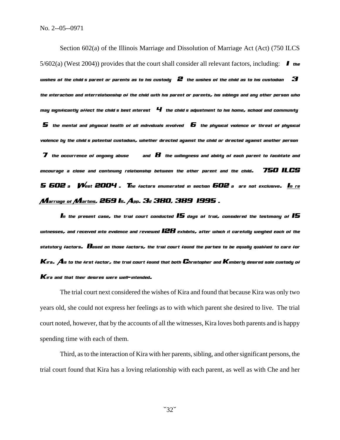Section 602(a) of the Illinois Marriage and Dissolution of Marriage Act (Act) (750 ILCS  $5/602(a)$  (West 2004)) provides that the court shall consider all relevant factors, including:  $\blacksquare$  the *wishes of the child s parent or parents as to his custody;*  $\bm{2}$  *the wishes of the child as to his custodian* $\bm{3}$ *the interaction and interrelationship of the child with his parent or parents, his siblings and any other person who*   $m$ ay significantly affect the child s best interest  $\,$   $\,$  the child s adjustment to his home, school and community  $\,$   $\,$  the mental and physical health of all individuals involved;  $\,$  the physical violence or threat of physical  $\,$ *violence by the child's potential custodian, whether directed against the child or directed against another person; (7) the occurrence of ongoing abuse \*\*\*; and (8) the willingness and ability of each parent to facilitate and encourage a close and continuing relationship between the other parent and the child." 750 ILCS 5/602 a VVest 2004 . The factors enumerated in section 602 a are not exclusive. In re Marriage of Martins, 269 Ill. App. 3d 380, 389 (1995).* 

*In the present case, the trial court conducted 15 days of trial, considered the testimony of 15 witnesses, and received into evidence and reviewed 128 exhibits, after which it carefully weighed each of the statutory factors. Based on those factors, the trial court found the parties to be equally qualified to care for Kira. As to the first factor, the trial court found that both Christopher and Kimberly desired sole custody of Kira and that their desires were well-intended.* 

The trial court next considered the wishes of Kira and found that because Kira was only two years old, she could not express her feelings as to with which parent she desired to live. The trial court noted, however, that by the accounts of all the witnesses, Kira loves both parents and is happy spending time with each of them.

Third, as to the interaction of Kira with her parents, sibling, and other significant persons, the trial court found that Kira has a loving relationship with each parent, as well as with Che and her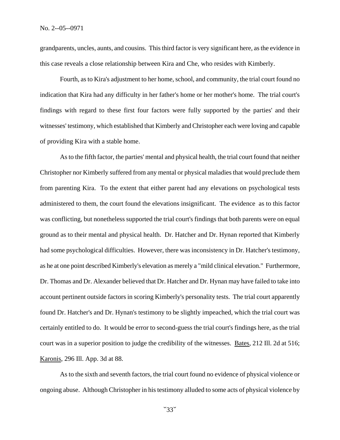grandparents, uncles, aunts, and cousins. This third factor is very significant here, as the evidence in this case reveals a close relationship between Kira and Che, who resides with Kimberly.

Fourth, as to Kira's adjustment to her home, school, and community, the trial court found no indication that Kira had any difficulty in her father's home or her mother's home. The trial court's findings with regard to these first four factors were fully supported by the parties' and their witnesses' testimony, which established that Kimberly and Christopher each were loving and capable of providing Kira with a stable home.

As to the fifth factor, the parties' mental and physical health, the trial court found that neither Christopher nor Kimberly suffered from any mental or physical maladies that would preclude them from parenting Kira. To the extent that either parent had any elevations on psychological tests administered to them, the court found the elevations insignificant. The evidence as to this factor was conflicting, but nonetheless supported the trial court's findings that both parents were on equal ground as to their mental and physical health. Dr. Hatcher and Dr. Hynan reported that Kimberly had some psychological difficulties. However, there was inconsistency in Dr. Hatcher's testimony, as he at one point described Kimberly's elevation as merely a "mild clinical elevation." Furthermore, Dr. Thomas and Dr. Alexander believed that Dr. Hatcher and Dr. Hynan may have failed to take into account pertinent outside factors in scoring Kimberly's personality tests. The trial court apparently found Dr. Hatcher's and Dr. Hynan's testimony to be slightly impeached, which the trial court was certainly entitled to do. It would be error to second-guess the trial court's findings here, as the trial court was in a superior position to judge the credibility of the witnesses. Bates, 212 Ill. 2d at 516; Karonis, 296 Ill. App. 3d at 88.

As to the sixth and seventh factors, the trial court found no evidence of physical violence or ongoing abuse. Although Christopher in his testimony alluded to some acts of physical violence by

 $\sim$ 33 $\sim$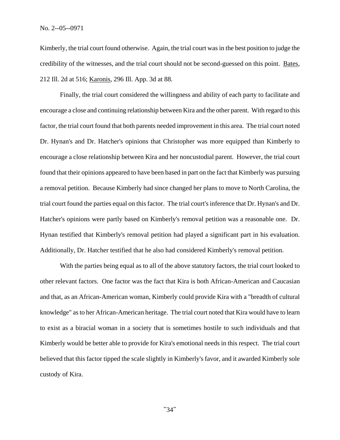Kimberly, the trial court found otherwise. Again, the trial court was in the best position to judge the credibility of the witnesses, and the trial court should not be second-guessed on this point. Bates, 212 Ill. 2d at 516; Karonis, 296 Ill. App. 3d at 88.

Finally, the trial court considered the willingness and ability of each party to facilitate and encourage a close and continuing relationship between Kira and the other parent. With regard to this factor, the trial court found that both parents needed improvement in this area. The trial court noted Dr. Hynan's and Dr. Hatcher's opinions that Christopher was more equipped than Kimberly to encourage a close relationship between Kira and her noncustodial parent. However, the trial court found that their opinions appeared to have been based in part on the fact that Kimberly was pursuing a removal petition. Because Kimberly had since changed her plans to move to North Carolina, the trial court found the parties equal on this factor. The trial court's inference that Dr. Hynan's and Dr. Hatcher's opinions were partly based on Kimberly's removal petition was a reasonable one. Dr. Hynan testified that Kimberly's removal petition had played a significant part in his evaluation. Additionally, Dr. Hatcher testified that he also had considered Kimberly's removal petition.

With the parties being equal as to all of the above statutory factors, the trial court looked to other relevant factors. One factor was the fact that Kira is both African-American and Caucasian and that, as an African-American woman, Kimberly could provide Kira with a "breadth of cultural knowledge" as to her African-American heritage. The trial court noted that Kira would have to learn to exist as a biracial woman in a society that is sometimes hostile to such individuals and that Kimberly would be better able to provide for Kira's emotional needs in this respect. The trial court believed that this factor tipped the scale slightly in Kimberly's favor, and it awarded Kimberly sole custody of Kira.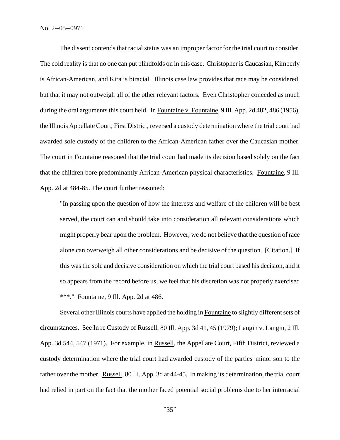No. 2--05--0971

The dissent contends that racial status was an improper factor for the trial court to consider. The cold reality is that no one can put blindfolds on in this case. Christopher is Caucasian, Kimberly is African-American, and Kira is biracial. Illinois case law provides that race may be considered, but that it may not outweigh all of the other relevant factors. Even Christopher conceded as much during the oral arguments this court held. In Fountaine v. Fountaine, 9 Ill. App. 2d 482, 486 (1956), the Illinois Appellate Court, First District, reversed a custody determination where the trial court had awarded sole custody of the children to the African-American father over the Caucasian mother. The court in Fountaine reasoned that the trial court had made its decision based solely on the fact that the children bore predominantly African-American physical characteristics. Fountaine, 9 Ill. App. 2d at 484-85. The court further reasoned:

"In passing upon the question of how the interests and welfare of the children will be best served, the court can and should take into consideration all relevant considerations which might properly bear upon the problem. However, we do not believe that the question of race alone can overweigh all other considerations and be decisive of the question. [Citation.] If this was the sole and decisive consideration on which the trial court based his decision, and it so appears from the record before us, we feel that his discretion was not properly exercised \*\*\*." Fountaine, 9 Ill. App. 2d at 486.

Several other Illinois courts have applied the holding in Fountaine to slightly different sets of circumstances. See In re Custody of Russell, 80 Ill. App. 3d 41, 45 (1979); Langin v. Langin, 2 Ill. App. 3d 544, 547 (1971). For example, in Russell, the Appellate Court, Fifth District, reviewed a custody determination where the trial court had awarded custody of the parties' minor son to the father over the mother. Russell, 80 Ill. App. 3d at 44-45. In making its determination, the trial court had relied in part on the fact that the mother faced potential social problems due to her interracial

 $\sim 35$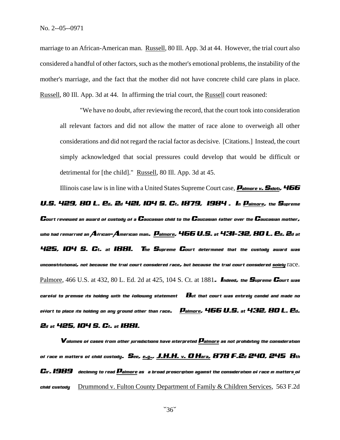marriage to an African-American man. Russell, 80 Ill. App. 3d at 44. However, the trial court also considered a handful of other factors, such as the mother's emotional problems, the instability of the mother's marriage, and the fact that the mother did not have concrete child care plans in place. Russell, 80 Ill. App. 3d at 44. In affirming the trial court, the Russell court reasoned:

"We have no doubt, after reviewing the record, that the court took into consideration all relevant factors and did not allow the matter of race alone to overweigh all other considerations and did not regard the racial factor as decisive. [Citations.] Instead, the court simply acknowledged that social pressures could develop that would be difficult or detrimental for [the child]." Russell, 80 Ill. App. 3d at 45.

Illinois case law is in line with a United States Supreme Court case, *Palmore v. Sidoti, 466 U.S. 429, 80 L. Ed. 2d 421, 104 S. Ct. 1879, (1984). In Palmore, the Supreme Court reviewed an award of custody of a Caucasian child to the Caucasian father over the Caucasian mother, who had remarried an African-American man. Palmore, 466 U.S. at 431-32, 80 L. Ed. 2d at 425, 104 S. Ct. at 1881. The Supreme Court determined that the custody award was unconstitutional, not because the trial court considered race, but because the trial court considered solely* race. Palmore, 466 U.S. at 432, 80 L. Ed. 2d at 425, 104 S. Ct. at 1881*. Indeed, the Supreme Court was careful to premise its holding with the following statement: "But that court was entirely candid and made no effort to place its holding on any ground other than race." Palmore, 466 U.S. at 432, 80 L. Ed. 2d at 425, 104 S. Ct. at 1881.* 

*Volumes of cases from other jurisdictions have interpreted Palmore as not prohibiting the consideration of race in matters of child custody. See, e.g., J.H.H. v. O'Hara, 878 F.2d 240, 245 (8th Cir. 1989) (declining to read Palmore as "a broad proscription against the consideration of race in matters of child custody");* Drummond v. Fulton County Department of Family & Children Services, 563 F.2d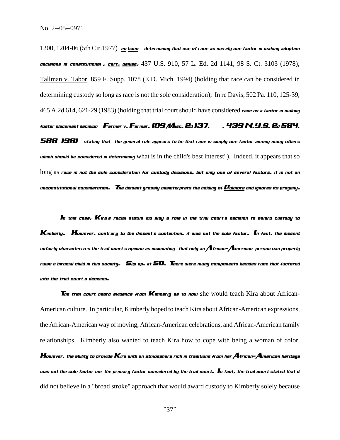1200, 1204-06 (5th Cir.1977) en banc determining that use of race as merely one factor in making adoption *decisions is constitutional), cert. denied,* 437 U.S. 910, 57 L. Ed. 2d 1141, 98 S. Ct. 3103 (1978); Tallman v. Tabor, 859 F. Supp. 1078 (E.D. Mich. 1994) (holding that race can be considered in determining custody so long as race is not the sole consideration); In re Davis, 502 Pa. 110, 125-39, 465 A.2d 614, 621-29 (1983) (holding that trial court should have considered *race as a factor in making foster placement decision); Farmer v. Farmer, 109 Misc. 2d 137, \_\_\_, 439 N.Y.S. 2d 584,* 

*588 (1981) (stating that "the general rule appears to be that race is simply one factor among many others which should be considered in determining* what is in the child's best interest"). Indeed, it appears that so long as *race is not the sole consideration for custody decisions, but only one of several factors, it is not an unconstitutional consideration. The dissent grossly misinterprets the holding of Palmore and ignores its progeny.* 

*In this case, Kira's racial status did play a role in the trial court's decision to award custody to Kimberly. However, contrary to the dissent's contention, it was not the sole factor. In fact, the dissent unfairly characterizes the trial court's opinion as insinuating "that only an African-American person can properly raise a biracial child in this society." Slip op. at 50. There were many components besides race that factored into the trial court's decision.* 

**The trial court heard evidence from Kimberly as to how** she would teach Kira about African-American culture. In particular, Kimberly hoped to teach Kira about African-American expressions, the African-American way of moving, African-American celebrations, and African-American family relationships. Kimberly also wanted to teach Kira how to cope with being a woman of color. *However, the ability to provide Kira with an atmosphere rich in traditions from her African-American heritage was not the sole factor nor the primary factor considered by the trial court. In fact, the trial court stated that it*  did not believe in a "broad stroke" approach that would award custody to Kimberly solely because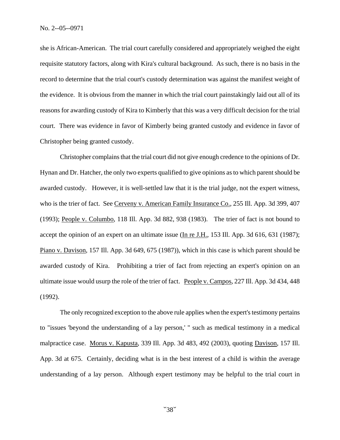she is African-American. The trial court carefully considered and appropriately weighed the eight requisite statutory factors, along with Kira's cultural background. As such, there is no basis in the record to determine that the trial court's custody determination was against the manifest weight of the evidence. It is obvious from the manner in which the trial court painstakingly laid out all of its reasons for awarding custody of Kira to Kimberly that this was a very difficult decision for the trial court. There was evidence in favor of Kimberly being granted custody and evidence in favor of Christopher being granted custody.

Christopher complains that the trial court did not give enough credence to the opinions of Dr. Hynan and Dr. Hatcher, the only two experts qualified to give opinions as to which parent should be awarded custody. However, it is well-settled law that it is the trial judge, not the expert witness, who is the trier of fact. See Cerveny v. American Family Insurance Co., 255 Ill. App. 3d 399, 407 (1993); People v. Columbo, 118 Ill. App. 3d 882, 938 (1983). The trier of fact is not bound to accept the opinion of an expert on an ultimate issue (In re J.H., 153 Ill. App. 3d 616, 631 (1987); Piano v. Davison, 157 Ill. App. 3d 649, 675 (1987)), which in this case is which parent should be awarded custody of Kira. Prohibiting a trier of fact from rejecting an expert's opinion on an ultimate issue would usurp the role of the trier of fact. People v. Campos, 227 Ill. App. 3d 434, 448 (1992).

The only recognized exception to the above rule applies when the expert's testimony pertains to "issues 'beyond the understanding of a lay person,' " such as medical testimony in a medical malpractice case. Morus v. Kapusta, 339 Ill. App. 3d 483, 492 (2003), quoting Davison, 157 Ill. App. 3d at 675. Certainly, deciding what is in the best interest of a child is within the average understanding of a lay person. Although expert testimony may be helpful to the trial court in

 $\degree$ 38 $\degree$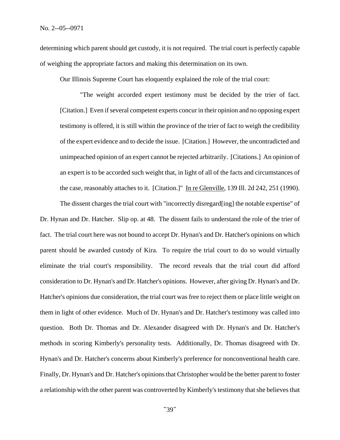determining which parent should get custody, it is not required. The trial court is perfectly capable of weighing the appropriate factors and making this determination on its own.

Our Illinois Supreme Court has eloquently explained the role of the trial court:

"The weight accorded expert testimony must be decided by the trier of fact. [Citation.] Even if several competent experts concur in their opinion and no opposing expert testimony is offered, it is still within the province of the trier of fact to weigh the credibility of the expert evidence and to decide the issue. [Citation.] However, the uncontradicted and unimpeached opinion of an expert cannot be rejected arbitrarily. [Citations.] An opinion of an expert is to be accorded such weight that, in light of all of the facts and circumstances of the case, reasonably attaches to it. [Citation.]" In re Glenville, 139 Ill. 2d 242, 251 (1990).

The dissent charges the trial court with "incorrectly disregard[ing] the notable expertise" of Dr. Hynan and Dr. Hatcher. Slip op. at 48. The dissent fails to understand the role of the trier of fact. The trial court here was not bound to accept Dr. Hynan's and Dr. Hatcher's opinions on which parent should be awarded custody of Kira. To require the trial court to do so would virtually eliminate the trial court's responsibility. The record reveals that the trial court did afford consideration to Dr. Hynan's and Dr. Hatcher's opinions. However, after giving Dr. Hynan's and Dr. Hatcher's opinions due consideration, the trial court was free to reject them or place little weight on them in light of other evidence. Much of Dr. Hynan's and Dr. Hatcher's testimony was called into question. Both Dr. Thomas and Dr. Alexander disagreed with Dr. Hynan's and Dr. Hatcher's methods in scoring Kimberly's personality tests. Additionally, Dr. Thomas disagreed with Dr. Hynan's and Dr. Hatcher's concerns about Kimberly's preference for nonconventional health care. Finally, Dr. Hynan's and Dr. Hatcher's opinions that Christopher would be the better parent to foster a relationship with the other parent was controverted by Kimberly's testimony that she believes that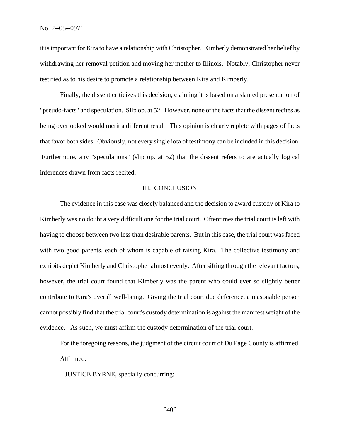it is important for Kira to have a relationship with Christopher. Kimberly demonstrated her belief by withdrawing her removal petition and moving her mother to Illinois. Notably, Christopher never testified as to his desire to promote a relationship between Kira and Kimberly.

Finally, the dissent criticizes this decision, claiming it is based on a slanted presentation of "pseudo-facts" and speculation. Slip op. at 52. However, none of the facts that the dissent recites as being overlooked would merit a different result. This opinion is clearly replete with pages of facts that favor both sides. Obviously, not every single iota of testimony can be included in this decision. Furthermore, any "speculations" (slip op. at 52) that the dissent refers to are actually logical inferences drawn from facts recited.

### III. CONCLUSION

The evidence in this case was closely balanced and the decision to award custody of Kira to Kimberly was no doubt a very difficult one for the trial court. Oftentimes the trial court is left with having to choose between two less than desirable parents. But in this case, the trial court was faced with two good parents, each of whom is capable of raising Kira. The collective testimony and exhibits depict Kimberly and Christopher almost evenly. After sifting through the relevant factors, however, the trial court found that Kimberly was the parent who could ever so slightly better contribute to Kira's overall well-being. Giving the trial court due deference, a reasonable person cannot possibly find that the trial court's custody determination is against the manifest weight of the evidence. As such, we must affirm the custody determination of the trial court.

For the foregoing reasons, the judgment of the circuit court of Du Page County is affirmed. Affirmed.

JUSTICE BYRNE, specially concurring: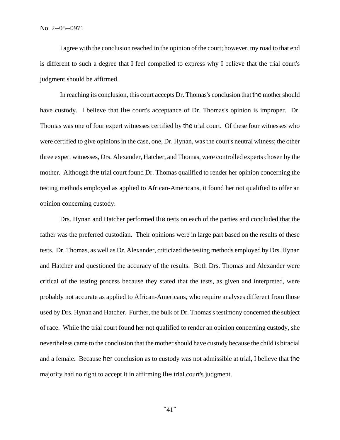I agree with the conclusion reached in the opinion of the court; however, my road to that end is different to such a degree that I feel compelled to express why I believe that the trial court's judgment should be affirmed.

In reaching its conclusion, this court accepts Dr. Thomas's conclusion that the mother should have custody. I believe that the court's acceptance of Dr. Thomas's opinion is improper. Dr. Thomas was one of four expert witnesses certified by the trial court. Of these four witnesses who were certified to give opinions in the case, one, Dr. Hynan, was the court's neutral witness; the other three expert witnesses, Drs. Alexander, Hatcher, and Thomas, were controlled experts chosen by the mother. Although the trial court found Dr. Thomas qualified to render her opinion concerning the testing methods employed as applied to African-Americans, it found her not qualified to offer an opinion concerning custody.

Drs. Hynan and Hatcher performed the tests on each of the parties and concluded that the father was the preferred custodian. Their opinions were in large part based on the results of these tests. Dr. Thomas, as well as Dr. Alexander, criticized the testing methods employed by Drs. Hynan and Hatcher and questioned the accuracy of the results. Both Drs. Thomas and Alexander were critical of the testing process because they stated that the tests, as given and interpreted, were probably not accurate as applied to African-Americans, who require analyses different from those used by Drs. Hynan and Hatcher. Further, the bulk of Dr. Thomas's testimony concerned the subject of race. While the trial court found her not qualified to render an opinion concerning custody, she nevertheless came to the conclusion that the mother should have custody because the child is biracial and a female. Because her conclusion as to custody was not admissible at trial, I believe that the majority had no right to accept it in affirming the trial court's judgment.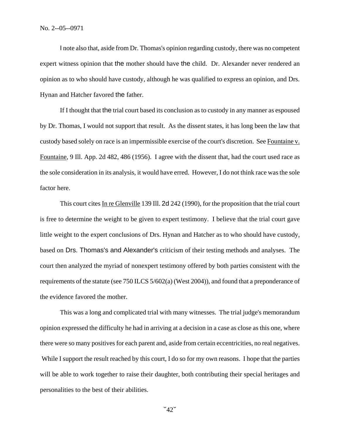I note also that, aside from Dr. Thomas's opinion regarding custody, there was no competent expert witness opinion that the mother should have the child. Dr. Alexander never rendered an opinion as to who should have custody, although he was qualified to express an opinion, and Drs. Hynan and Hatcher favored the father.

If I thought that the trial court based its conclusion as to custody in any manner as espoused by Dr. Thomas, I would not support that result. As the dissent states, it has long been the law that custody based solely on race is an impermissible exercise of the court's discretion. See Fountaine v. Fountaine, 9 Ill. App. 2d 482, 486 (1956). I agree with the dissent that, had the court used race as the sole consideration in its analysis, it would have erred. However, I do not think race was the sole factor here.

This court cites In re Glenville 139 Ill. 2d 242 (1990), for the proposition that the trial court is free to determine the weight to be given to expert testimony. I believe that the trial court gave little weight to the expert conclusions of Drs. Hynan and Hatcher as to who should have custody, based on Drs. Thomas's and Alexander's criticism of their testing methods and analyses. The court then analyzed the myriad of nonexpert testimony offered by both parties consistent with the requirements of the statute (see 750 ILCS 5/602(a) (West 2004)), and found that a preponderance of the evidence favored the mother.

This was a long and complicated trial with many witnesses. The trial judge's memorandum opinion expressed the difficulty he had in arriving at a decision in a case as close as this one, where there were so many positives for each parent and, aside from certain eccentricities, no real negatives. While I support the result reached by this court, I do so for my own reasons. I hope that the parties will be able to work together to raise their daughter, both contributing their special heritages and personalities to the best of their abilities.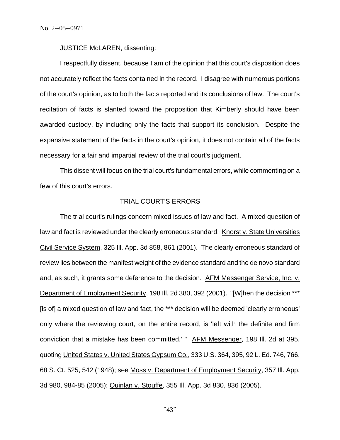JUSTICE McLAREN, dissenting:

I respectfully dissent, because I am of the opinion that this court's disposition does not accurately reflect the facts contained in the record. I disagree with numerous portions of the court's opinion, as to both the facts reported and its conclusions of law. The court's recitation of facts is slanted toward the proposition that Kimberly should have been awarded custody, by including only the facts that support its conclusion. Despite the expansive statement of the facts in the court's opinion, it does not contain all of the facts necessary for a fair and impartial review of the trial court's judgment.

This dissent will focus on the trial court's fundamental errors, while commenting on a few of this court's errors.

# TRIAL COURT'S ERRORS

The trial court's rulings concern mixed issues of law and fact. A mixed question of law and fact is reviewed under the clearly erroneous standard. Knorst v. State Universities Civil Service System, 325 Ill. App. 3d 858, 861 (2001). The clearly erroneous standard of review lies between the manifest weight of the evidence standard and the de novo standard and, as such, it grants some deference to the decision. AFM Messenger Service, Inc. v. Department of Employment Security, 198 Ill. 2d 380, 392 (2001). "[W]hen the decision \*\*\* [is of] a mixed question of law and fact, the \*\*\* decision will be deemed 'clearly erroneous' only where the reviewing court, on the entire record, is 'left with the definite and firm conviction that a mistake has been committed.' " AFM Messenger, 198 Ill. 2d at 395, quoting United States v. United States Gypsum Co., 333 U.S. 364, 395, 92 L. Ed. 746, 766, 68 S. Ct. 525, 542 (1948); see Moss v. Department of Employment Security, 357 Ill. App. 3d 980, 984-85 (2005); Quinlan v. Stouffe, 355 Ill. App. 3d 830, 836 (2005).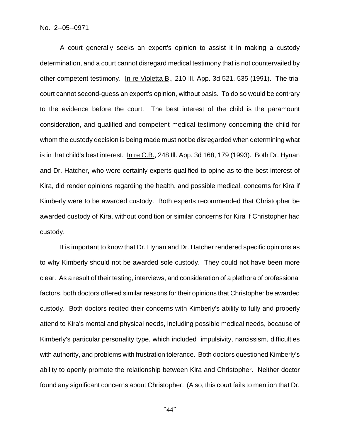A court generally seeks an expert's opinion to assist it in making a custody determination, and a court cannot disregard medical testimony that is not countervailed by other competent testimony. In re Violetta B., 210 Ill. App. 3d 521, 535 (1991). The trial court cannot second-guess an expert's opinion, without basis. To do so would be contrary to the evidence before the court. The best interest of the child is the paramount consideration, and qualified and competent medical testimony concerning the child for whom the custody decision is being made must not be disregarded when determining what is in that child's best interest. In re C.B., 248 Ill. App. 3d 168, 179 (1993). Both Dr. Hynan and Dr. Hatcher, who were certainly experts qualified to opine as to the best interest of Kira, did render opinions regarding the health, and possible medical, concerns for Kira if Kimberly were to be awarded custody. Both experts recommended that Christopher be awarded custody of Kira, without condition or similar concerns for Kira if Christopher had custody.

It is important to know that Dr. Hynan and Dr. Hatcher rendered specific opinions as to why Kimberly should not be awarded sole custody. They could not have been more clear. As a result of their testing, interviews, and consideration of a plethora of professional factors, both doctors offered similar reasons for their opinions that Christopher be awarded custody. Both doctors recited their concerns with Kimberly's ability to fully and properly attend to Kira's mental and physical needs, including possible medical needs, because of Kimberly's particular personality type, which included impulsivity, narcissism, difficulties with authority, and problems with frustration tolerance. Both doctors questioned Kimberly's ability to openly promote the relationship between Kira and Christopher. Neither doctor found any significant concerns about Christopher. (Also, this court fails to mention that Dr.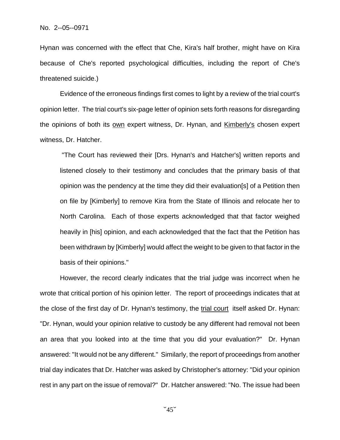Hynan was concerned with the effect that Che, Kira's half brother, might have on Kira because of Che's reported psychological difficulties, including the report of Che's threatened suicide.)

Evidence of the erroneous findings first comes to light by a review of the trial court's opinion letter. The trial court's six-page letter of opinion sets forth reasons for disregarding the opinions of both its own expert witness, Dr. Hynan, and Kimberly's chosen expert witness, Dr. Hatcher.

 "The Court has reviewed their [Drs. Hynan's and Hatcher's] written reports and listened closely to their testimony and concludes that the primary basis of that opinion was the pendency at the time they did their evaluation[s] of a Petition then on file by [Kimberly] to remove Kira from the State of Illinois and relocate her to North Carolina. Each of those experts acknowledged that that factor weighed heavily in [his] opinion, and each acknowledged that the fact that the Petition has been withdrawn by [Kimberly] would affect the weight to be given to that factor in the basis of their opinions."

However, the record clearly indicates that the trial judge was incorrect when he wrote that critical portion of his opinion letter. The report of proceedings indicates that at the close of the first day of Dr. Hynan's testimony, the trial court itself asked Dr. Hynan: "Dr. Hynan, would your opinion relative to custody be any different had removal not been an area that you looked into at the time that you did your evaluation?" Dr. Hynan answered: "It would not be any different." Similarly, the report of proceedings from another trial day indicates that Dr. Hatcher was asked by Christopher's attorney: "Did your opinion rest in any part on the issue of removal?" Dr. Hatcher answered: "No. The issue had been

 $\degree$ 45 $\degree$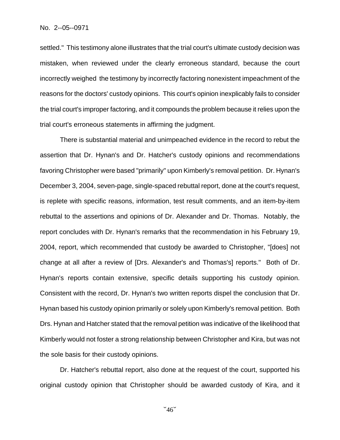settled." This testimony alone illustrates that the trial court's ultimate custody decision was mistaken, when reviewed under the clearly erroneous standard, because the court incorrectly weighed the testimony by incorrectly factoring nonexistent impeachment of the reasons for the doctors' custody opinions. This court's opinion inexplicably fails to consider the trial court's improper factoring, and it compounds the problem because it relies upon the trial court's erroneous statements in affirming the judgment.

There is substantial material and unimpeached evidence in the record to rebut the assertion that Dr. Hynan's and Dr. Hatcher's custody opinions and recommendations favoring Christopher were based "primarily" upon Kimberly's removal petition. Dr. Hynan's December 3, 2004, seven-page, single-spaced rebuttal report, done at the court's request, is replete with specific reasons, information, test result comments, and an item-by-item rebuttal to the assertions and opinions of Dr. Alexander and Dr. Thomas. Notably, the report concludes with Dr. Hynan's remarks that the recommendation in his February 19, 2004, report, which recommended that custody be awarded to Christopher, "[does] not change at all after a review of [Drs. Alexander's and Thomas's] reports." Both of Dr. Hynan's reports contain extensive, specific details supporting his custody opinion. Consistent with the record, Dr. Hynan's two written reports dispel the conclusion that Dr. Hynan based his custody opinion primarily or solely upon Kimberly's removal petition. Both Drs. Hynan and Hatcher stated that the removal petition was indicative of the likelihood that Kimberly would not foster a strong relationship between Christopher and Kira, but was not the sole basis for their custody opinions.

Dr. Hatcher's rebuttal report, also done at the request of the court, supported his original custody opinion that Christopher should be awarded custody of Kira, and it

 $46$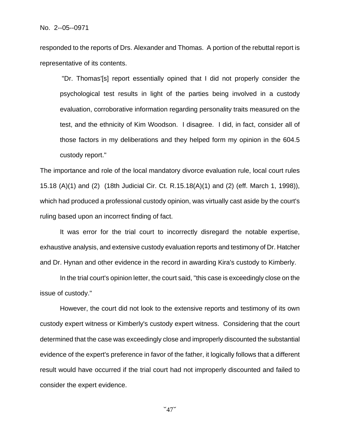responded to the reports of Drs. Alexander and Thomas. A portion of the rebuttal report is representative of its contents.

 "Dr. Thomas'[s] report essentially opined that I did not properly consider the psychological test results in light of the parties being involved in a custody evaluation, corroborative information regarding personality traits measured on the test, and the ethnicity of Kim Woodson. I disagree. I did, in fact, consider all of those factors in my deliberations and they helped form my opinion in the 604.5 custody report."

The importance and role of the local mandatory divorce evaluation rule, local court rules 15.18 (A)(1) and (2) (18th Judicial Cir. Ct. R.15.18(A)(1) and (2) (eff. March 1, 1998)), which had produced a professional custody opinion, was virtually cast aside by the court's ruling based upon an incorrect finding of fact.

It was error for the trial court to incorrectly disregard the notable expertise, exhaustive analysis, and extensive custody evaluation reports and testimony of Dr. Hatcher and Dr. Hynan and other evidence in the record in awarding Kira's custody to Kimberly.

In the trial court's opinion letter, the court said, "this case is exceedingly close on the issue of custody."

However, the court did not look to the extensive reports and testimony of its own custody expert witness or Kimberly's custody expert witness. Considering that the court determined that the case was exceedingly close and improperly discounted the substantial evidence of the expert's preference in favor of the father, it logically follows that a different result would have occurred if the trial court had not improperly discounted and failed to consider the expert evidence.

 $47$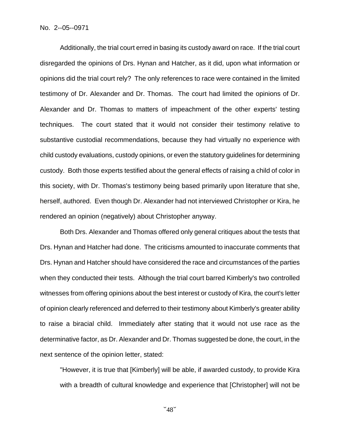Additionally, the trial court erred in basing its custody award on race. If the trial court disregarded the opinions of Drs. Hynan and Hatcher, as it did, upon what information or opinions did the trial court rely? The only references to race were contained in the limited testimony of Dr. Alexander and Dr. Thomas. The court had limited the opinions of Dr. Alexander and Dr. Thomas to matters of impeachment of the other experts' testing techniques. The court stated that it would not consider their testimony relative to substantive custodial recommendations, because they had virtually no experience with child custody evaluations, custody opinions, or even the statutory guidelines for determining custody. Both those experts testified about the general effects of raising a child of color in this society, with Dr. Thomas's testimony being based primarily upon literature that she, herself, authored. Even though Dr. Alexander had not interviewed Christopher or Kira, he rendered an opinion (negatively) about Christopher anyway.

Both Drs. Alexander and Thomas offered only general critiques about the tests that Drs. Hynan and Hatcher had done. The criticisms amounted to inaccurate comments that Drs. Hynan and Hatcher should have considered the race and circumstances of the parties when they conducted their tests. Although the trial court barred Kimberly's two controlled witnesses from offering opinions about the best interest or custody of Kira, the court's letter of opinion clearly referenced and deferred to their testimony about Kimberly's greater ability to raise a biracial child. Immediately after stating that it would not use race as the determinative factor, as Dr. Alexander and Dr. Thomas suggested be done, the court, in the next sentence of the opinion letter, stated:

"However, it is true that [Kimberly] will be able, if awarded custody, to provide Kira with a breadth of cultural knowledge and experience that [Christopher] will not be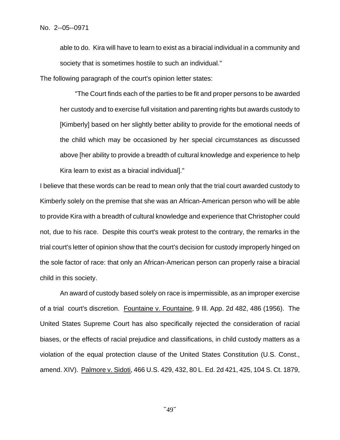able to do. Kira will have to learn to exist as a biracial individual in a community and society that is sometimes hostile to such an individual."

The following paragraph of the court's opinion letter states:

 "The Court finds each of the parties to be fit and proper persons to be awarded her custody and to exercise full visitation and parenting rights but awards custody to [Kimberly] based on her slightly better ability to provide for the emotional needs of the child which may be occasioned by her special circumstances as discussed above [her ability to provide a breadth of cultural knowledge and experience to help Kira learn to exist as a biracial individual]."

I believe that these words can be read to mean only that the trial court awarded custody to Kimberly solely on the premise that she was an African-American person who will be able to provide Kira with a breadth of cultural knowledge and experience that Christopher could not, due to his race. Despite this court's weak protest to the contrary, the remarks in the trial court's letter of opinion show that the court's decision for custody improperly hinged on the sole factor of race: that only an African-American person can properly raise a biracial child in this society.

An award of custody based solely on race is impermissible, as an improper exercise of a trial court's discretion. Fountaine v. Fountaine, 9 Ill. App. 2d 482, 486 (1956). The United States Supreme Court has also specifically rejected the consideration of racial biases, or the effects of racial prejudice and classifications, in child custody matters as a violation of the equal protection clause of the United States Constitution (U.S. Const., amend. XIV). Palmore v. Sidoti, 466 U.S. 429, 432, 80 L. Ed. 2d 421, 425, 104 S. Ct. 1879,

 $\sim$ 49 $\sim$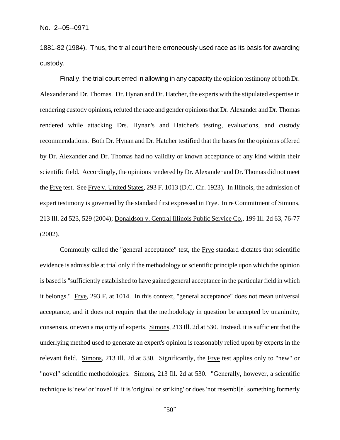1881-82 (1984). Thus, the trial court here erroneously used race as its basis for awarding custody.

Finally, the trial court erred in allowing in any capacity the opinion testimony of both Dr. Alexander and Dr. Thomas. Dr. Hynan and Dr. Hatcher, the experts with the stipulated expertise in rendering custody opinions, refuted the race and gender opinions that Dr. Alexander and Dr. Thomas rendered while attacking Drs. Hynan's and Hatcher's testing, evaluations, and custody recommendations. Both Dr. Hynan and Dr. Hatcher testified that the bases for the opinions offered by Dr. Alexander and Dr. Thomas had no validity or known acceptance of any kind within their scientific field. Accordingly, the opinions rendered by Dr. Alexander and Dr. Thomas did not meet the Frye test. See Frye v. United States, 293 F. 1013 (D.C. Cir. 1923). In Illinois, the admission of expert testimony is governed by the standard first expressed in Frye. In re Commitment of Simons, 213 Ill. 2d 523, 529 (2004); Donaldson v. Central Illinois Public Service Co., 199 Ill. 2d 63, 76-77 (2002).

Commonly called the "general acceptance" test, the Frye standard dictates that scientific evidence is admissible at trial only if the methodology or scientific principle upon which the opinion is based is "sufficiently established to have gained general acceptance in the particular field in which it belongs." Frye, 293 F. at 1014. In this context, "general acceptance" does not mean universal acceptance, and it does not require that the methodology in question be accepted by unanimity, consensus, or even a majority of experts. Simons, 213 Ill. 2d at 530. Instead, it is sufficient that the underlying method used to generate an expert's opinion is reasonably relied upon by experts in the relevant field. Simons, 213 Ill. 2d at 530. Significantly, the Frye test applies only to "new" or "novel" scientific methodologies. Simons, 213 Ill. 2d at 530. "Generally, however, a scientific technique is 'new' or 'novel' if it is 'original or striking' or does 'not resembl[e] something formerly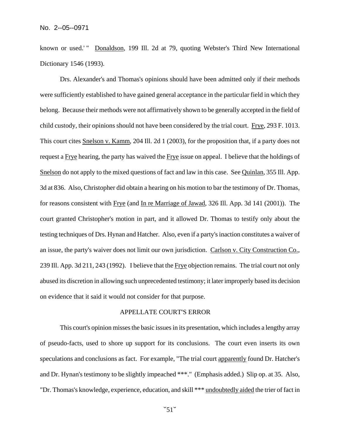known or used.'" Donaldson, 199 Ill. 2d at 79, quoting Webster's Third New International Dictionary 1546 (1993).

Drs. Alexander's and Thomas's opinions should have been admitted only if their methods were sufficiently established to have gained general acceptance in the particular field in which they belong. Because their methods were not affirmatively shown to be generally accepted in the field of child custody, their opinions should not have been considered by the trial court. Frye, 293 F. 1013. This court cites Snelson v. Kamm, 204 Ill. 2d 1 (2003), for the proposition that, if a party does not request a Frye hearing, the party has waived the Frye issue on appeal. I believe that the holdings of Snelson do not apply to the mixed questions of fact and law in this case. See Quinlan, 355 Ill. App. 3d at 836. Also, Christopher did obtain a hearing on his motion to bar the testimony of Dr. Thomas, for reasons consistent with Frye (and In re Marriage of Jawad, 326 Ill. App. 3d 141 (2001)). The court granted Christopher's motion in part, and it allowed Dr. Thomas to testify only about the testing techniques of Drs. Hynan and Hatcher. Also, even if a party's inaction constitutes a waiver of an issue, the party's waiver does not limit our own jurisdiction. Carlson v. City Construction Co., 239 Ill. App. 3d 211, 243 (1992). I believe that the Frye objection remains. The trial court not only abused its discretion in allowing such unprecedented testimony; it later improperly based its decision on evidence that it said it would not consider for that purpose.

# APPELLATE COURT<S ERROR

This court's opinion misses the basic issues in its presentation, which includes a lengthy array of pseudo-facts, used to shore up support for its conclusions. The court even inserts its own speculations and conclusions as fact. For example, "The trial court apparently found Dr. Hatcher's and Dr. Hynan's testimony to be slightly impeached \*\*\*." (Emphasis added.) Slip op. at 35. Also, "Dr. Thomas's knowledge, experience, education, and skill \*\*\* undoubtedly aided the trier of fact in